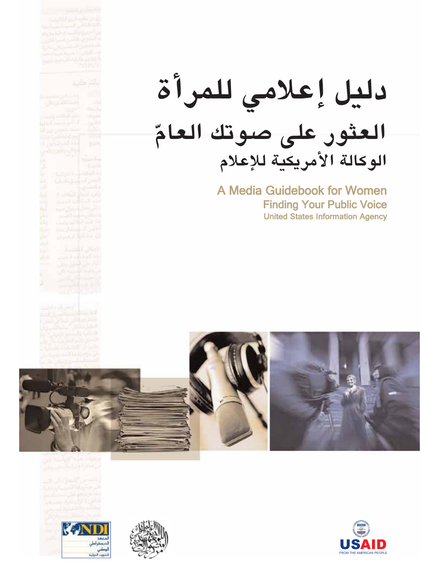|                       | u)                                                         |                                |
|-----------------------|------------------------------------------------------------|--------------------------------|
|                       |                                                            |                                |
|                       |                                                            |                                |
|                       |                                                            |                                |
| m.                    |                                                            |                                |
| an 7                  |                                                            |                                |
|                       |                                                            |                                |
|                       |                                                            |                                |
|                       |                                                            |                                |
|                       |                                                            |                                |
|                       |                                                            | 病態                             |
|                       |                                                            |                                |
|                       |                                                            |                                |
|                       |                                                            |                                |
|                       |                                                            |                                |
|                       |                                                            |                                |
|                       |                                                            |                                |
|                       |                                                            |                                |
|                       |                                                            |                                |
|                       | <b>ASKE</b>                                                |                                |
|                       | ينا من ال<br>تاريخ :<br>أمس سينين الرين<br>أمسي سيني البان |                                |
|                       |                                                            |                                |
|                       |                                                            |                                |
|                       |                                                            |                                |
|                       |                                                            |                                |
| is Hol                |                                                            |                                |
|                       |                                                            |                                |
|                       |                                                            |                                |
|                       |                                                            |                                |
|                       |                                                            |                                |
|                       |                                                            |                                |
|                       |                                                            |                                |
|                       |                                                            |                                |
|                       |                                                            |                                |
| i<br>Li               | باباتی مسته<br>میرونیایی                                   |                                |
|                       |                                                            |                                |
|                       |                                                            |                                |
|                       |                                                            |                                |
|                       |                                                            |                                |
|                       |                                                            |                                |
|                       |                                                            |                                |
|                       |                                                            |                                |
|                       |                                                            |                                |
|                       |                                                            |                                |
|                       |                                                            |                                |
|                       |                                                            |                                |
|                       |                                                            |                                |
|                       |                                                            |                                |
|                       |                                                            |                                |
|                       |                                                            |                                |
|                       |                                                            |                                |
| <b>PARTIES</b><br>内容的 |                                                            |                                |
|                       |                                                            |                                |
|                       |                                                            |                                |
|                       |                                                            |                                |
|                       |                                                            |                                |
|                       |                                                            |                                |
|                       |                                                            |                                |
|                       |                                                            |                                |
|                       |                                                            | نا دیگر میکند.<br>منبر استفاده |
|                       | ین کینڈ کی پیدائش<br>اللہ شر المعلق والی<br>مرکز اللہ کی م |                                |
|                       |                                                            |                                |
|                       |                                                            |                                |
|                       |                                                            |                                |
|                       |                                                            |                                |
|                       |                                                            |                                |
|                       |                                                            |                                |
|                       |                                                            |                                |
|                       |                                                            |                                |
|                       |                                                            |                                |
|                       |                                                            |                                |
|                       |                                                            |                                |
|                       |                                                            |                                |

# دليل إعلامي للمرأة العثور على صوتك العامّ الوكالة الأمريكية للإعلام

A Media Guidebook for Women **Finding Your Public Voice United States Information Agency** 



KIN



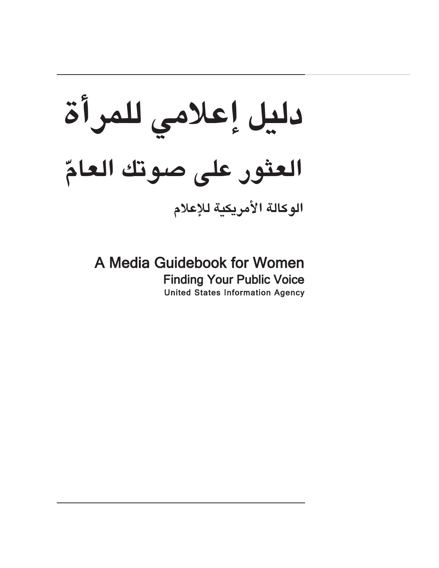دليل إعلامي للمرأة العثور على صوتك العامّ الوكالة الأمريكية للإعلام

A Media Guidebook for Women **Finding Your Public Voice United States Information Agency**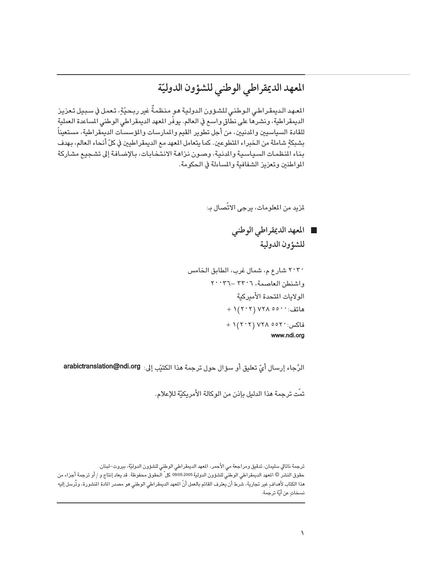### المعهد الديمقراطي الوطني للشؤون الدوليّة

المعهد الديمقراطي الـوطني للشـؤون الـدوليـة هـو منظمـةٌ غير ربـحيّةٍ، تـعمل في سـبـيل تـعزيـز الديمقراطية، ونشرهًا على نطَّاقٍ واسع في العالم. يوفّر المعهد الديمقراطي الوطني المساعدة العملية للقادة السياسيين والمدنيين، من أجل تطوير القيم والممارسات والمؤسسات الديمقراطية، مستعيناً بشبكةِ شاملة من الخبراء المتطوعين. كما يتعامل المعهد مع الديمقراطيين في كلِّ أنحاء العالم، بهدف بناء المظمات السياسية والدنية، وصون نزاهة الانتخابات، بالإضافة إلى تشجيع مشاركة المواطنين وتعزيز الشفافية والمساءلة في الحكومة.

لمزيد من المعلومات، يرجى الاتّصال بـ:

العهد الديمقراطي الوطني للشؤون الدولية

الرَّجاء إرسال أيِّ تعليق أو سؤال حول ترجمة هذا الكتيِّب إلى: arabictranslation@ndi.org

تمّت ترجمة هذا الدليل بإذن من الوكالة الأمريكيّة للإعلام.

ترجمة ناتالي سليمان، تدقيق ومراجعة مي الأحمر، المعهد الديمقراطي الوطني للشؤون الدوليّة، بيروت–لبنان. حقوق النشر © المهد الديمقراطي الوطني للشؤون الدولية 09/05.2005 كل ّ الـحقوق محفوظة. قد يعاد إنتاج و / أو ترجمة أجزاء من هذا الكتاب لأهداف ٍ غير تجارية، شرط أن يعترف القائم بالعمل أنّ المهد الديمقراطي الوطني هو مصدر المادة المنشورة، وتُرسل إليه نسخاتٍ عن أيّة ترجمة.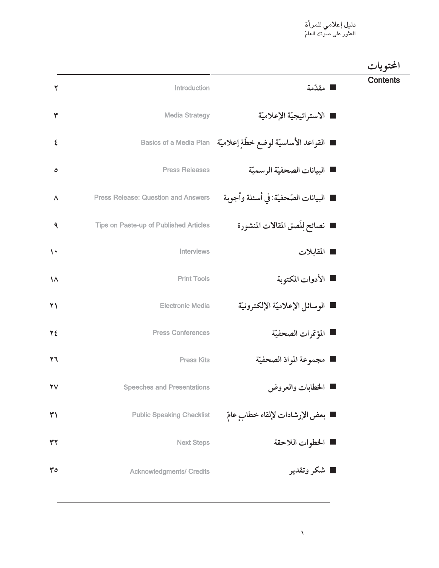| الحتويات        |                                                                     |                                               |                        |
|-----------------|---------------------------------------------------------------------|-----------------------------------------------|------------------------|
| <b>Contents</b> | ■ مقدّمة                                                            | Introduction                                  | ۲                      |
|                 | ■ الاستراتيجيّة الإعلاميّة                                          | <b>Media Strategy</b>                         | ٣                      |
|                 | ■   القواعد الأساسيّة لوضع خطّةٍ إعلاميّة    Basics of a Media Plan |                                               | ٤                      |
|                 | ■ البيانات الصحفيّة الرسميّة                                        | <b>Press Releases</b>                         | ٥                      |
|                 | ■ البيانات الصّحفيّة:في أسئلة وأجوبة                                | <b>Press Release: Question and Answers</b>    | $\boldsymbol{\wedge}$  |
|                 | تصائح للصق المقالات المنشورة                                        | <b>Tips on Paste-up of Published Articles</b> | ٩                      |
|                 | المقابلات                                                           | Interviews                                    | $\mathbf{L}$           |
|                 | ■ الأدوات المكتوبة                                                  | <b>Print Tools</b>                            | $\lambda$              |
|                 | ■ الوسائل الإعلاميّة الإلكترونيّة                                   | <b>Electronic Media</b>                       | $\Upsilon \setminus$   |
|                 | ■ المؤتمرات الصحفيّة                                                | <b>Press Conferences</b>                      | ٢٤                     |
|                 | ■ مجموعة الموادّ الصحفيّة                                           | <b>Press Kits</b>                             | $\mathbf{y}$           |
|                 | <b>ا</b> الخطابات والعروض                                           | <b>Speeches and Presentations</b>             | $\mathbf{Y}\mathbf{V}$ |
|                 | ■ بعض الإرشادات لإلقاء خطابٍ عامّ                                   | <b>Public Speaking Checklist</b>              | ٣١                     |
|                 | ■ الخطوات اللاحقة                                                   | <b>Next Steps</b>                             | ٣٢                     |
|                 | ■ شکر وتقدیر                                                        | <b>Acknowledgments/ Credits</b>               | 30                     |
|                 |                                                                     |                                               |                        |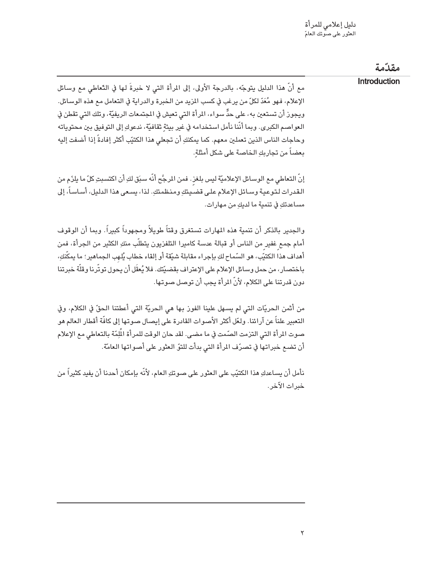|                                                                                                                                                                                                                                                                                                                                                                                                                                                                                                                                          | مقذمة        |
|------------------------------------------------------------------------------------------------------------------------------------------------------------------------------------------------------------------------------------------------------------------------------------------------------------------------------------------------------------------------------------------------------------------------------------------------------------------------------------------------------------------------------------------|--------------|
| مع أنّ هذا الدليل يتوجّه، بالدرجة الأولى، إلى المرأة التي لا خبرةَ لها في التّعاطي مع وسائل<br>الإعلام، فهو مُعَدّ لكلّ من يرغب في كسب المزيد من الخبرة والدراية في التعامل مع هذه الوسائل.<br>ويجوز أن تستعين به، على حدٍّ سواء، المرأة التي تعيش في المجتمعات الريفيّة، وتلك التي تقطن في<br>العواصـم الكبرى. وبما أنَّنا نأمل استخدامه في غير بيئةٍ ثقافيَّة، ندعوكِ إلى التوفيق بين محتوياته<br>وحاجات الناس الذين تعملين معهم. كما يمكنكِ أن تجعلي هذا الكتيّب أكثر إفادةً إذا أضفت إليه<br>بعضاً من تجاربكِ الخاصة على شكل أمثلةٍ. | Introduction |
| إنَّ التعاطي مع الوسائل الإعلاميَّة ليس بلغز. فمن المرجَّح أنَّه سبَق لكِ أن اكتسبتِ كلِّ ما يلزَم من<br>القدرات لتوعية وسائل الإعلام على قضيتكِ ومنظمتكِ. لذا، يسعى هذا الدليل، أساساً، إلى<br>مساعدتكِ في تنمية ما لديكِ من مهارات.                                                                                                                                                                                                                                                                                                    |              |
| والجدير بالذكر أن تنمية هذه المهارات تستغرق وقتاً طويلاً ومجهوداً كبيراً. وبما أن الوقوف<br>أمام جمعٍ غفيرٍ من الناس أو قبالة عدسة كاميرا التلفزيون يتطلَّب منكِ الكثير من الجرأة، فمن<br>أهداف هذا الكتيّب، هو السّماح لكِ بإجراء مقابلة شيّقة أو إلقاء خطاب يُلهب الجماهير؛ ما يمكّنكِ،<br>باختصار، من حمل وسائل الإعلام على الإعتراف بقضيّتك. فلا يُعقَل أن يحول توتّرنا وقلّة خبرتنا<br>دون قدرتنا على الكلام، لأَنَّ المرأة يجب أن توصل صوتها.                                                                                      |              |
| من أثمن الحريّات التي لم يسهل علينا الفوز بها هي الحريّة التي أعطتنا الحقّ في الكلام، وفي<br>التعبير علناً عن آرائنا. ولعّل أكثر الأصوات القادرة على إيصال صوتها إلى كافّة أقطار العالم هو<br>صوت المرأة التي التزمت الصّمت في ما مضى. لقد حان الوقت للمرأة اللِّمّة بالتعاطى مع الإعلام<br>أن تضـع خبراتـها في تصـرّف المرأة التي بدأت للتوّ الـعثور على أصـواتـها الـعامّة.                                                                                                                                                            |              |
| نأمل أن يساعدكِ هذا الكتيّب على العثور على صوتكِ العام، لأنّه بإمكان أحدنا أن يفيد كثيراً من<br>خبرات الآخر.                                                                                                                                                                                                                                                                                                                                                                                                                             |              |
|                                                                                                                                                                                                                                                                                                                                                                                                                                                                                                                                          |              |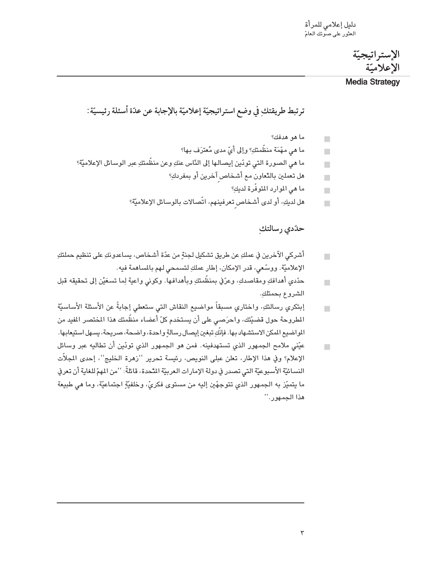الإستر اتيجيّة الاعلامتة

#### **Media Strategy**

ترتبط طريقتكِ في وضع استراتيجيّة إعلاميّة بالإجابة عن عدّة أسئلة رئيسيّة:

ما هو هدفك؟  $\mathbf{r}$ ما هي مهّمَة منظّمتكِ؟ وإلى أيّ مدى مُعترَف بها؟  $\blacksquare$ ما هي الصورة التي تودّين إيصالها إلى النّاس عنكِ وعن منظّمتكِ عبر الوسائل الإعلاميّة؟ П هل تعملين بالتّعاون مع أشخاص آخرين أو بمفردكِ؟  $\blacksquare$ ما هي الموارد المتوفّرة لديكِ؟  $\blacksquare$ هل لديكِ، أو لدى أشخاص تعرفينهم، اتَّصالات بالوسائل الإعلاميّة؟  $\blacksquare$ 

حدّدي رسالتك

- أشركي الآخرين في عملكِ عن طريق تشكيل لجنةٍ من عدّة أشخاص، يساعدونكِ على تنظيم حملتكِ  $\blacksquare$ الإعلاميّة. ووسّعي، قدر الإمكان، إطار عملكِ لتسمحي لهم بالمساهمة فيه.
- حدّدي أهدافكِ ومقاصدكِ، وعرّفي بمنظّمتكِ وبأهدافها. وكوني واعية لِما تسعَيْن إلى تحقيقه قبل  $\overline{\phantom{a}}$ الشروع بحمتلكِ.
- إبتكري رسالتكِ، واختاري مسبقاً مواضيع النقاش التي ستعطى إجابةً عن الأسئلة الأساسيّة  $\overline{\phantom{a}}$ المطروحة حول قضيّتك، واحرَصي على أن يستخدم كلّ أعضاء منظّمتك هذا المختصر المفيد من المواضيع المكن الاستشهاد بها. فإنَّكِ تبغين إيصال رسالةٍ واحدة، واضحة، صريحة، يسهل استيعابها.
- عيّني ملامح الجمهور الذي تستهدفينه. فمن هو الجمهور الذي تودّين أن تطاليه عبر وسائل  $\overline{\phantom{a}}$ الإعلام؟ وفي هذا الإطار، تعلن عبلي النويص، رئيسة تحرير ''زهرة الخليج''، إحدى المجلاّت النسائيّة الأسبوعيّة التي تصدر في دولة الإمارات العربيّة المَّحدة، قائلةً: ''من المهمّ للغاية أن تعرف ما يتميّز به الجمهور الذي تتوجهّين إليه من مستوى فكريّ، وخلفيّة اجتماعيّة، وما هي طبيعة هذا الجمهور. "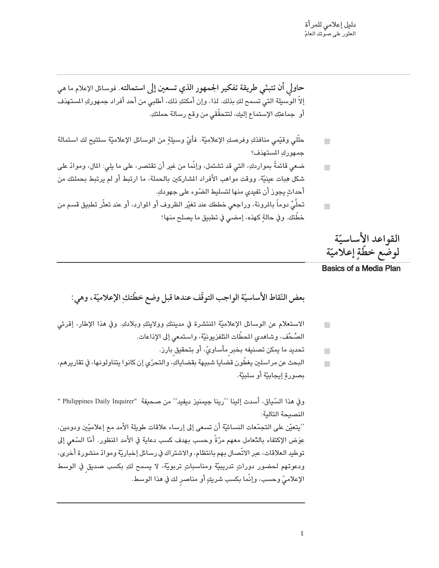$\mathbf{r}$ 

 $\blacksquare$ 

حاولي أن تتبنّى طريقة تفكير الجمهور الذي تسعين إلى استمالته. فوسائل الإعلام ما هي إلاّ الوسبيلة التي تسمح لكِ بذلك. لذا، وإن أمكنكِ ذلك، أطلبي من أحد أفراد جمهوركِ المستهدَف أو جماعتِك الإستماع إليك، لتتحقَّقى من وقع رسالة حملتكِ.

- حلَّلى وقيِّمي منافذكِ وفرصكِ الإعلاميَّة. فأيِّ وسيلةٍ من الوسائل الإعلاميَّة ستتيح لك استمالة  $\overline{\phantom{a}}$ جمهورك المستهدّف؟
- ضعي قائمةً بمواردكِ، التي قد تشتمل، وإنَّما من غير أن تقتصر، على ما يلي: المال، وموادَّ على  $\overline{\phantom{a}}$ شكل هِبات عينيّة، ووقت مواهب الأفراد المشاركين بالحملة، ما ارتبط أو لم يرتبط بحملتك من أحداث يجوز أن تفيدي منها لتسليط الضّوء على جهودك.
- تحلَّىُّ دوماً بالمرونة، وراجعى خططك عند تغيّر الظروف أو الموارد، أو عند تعثّر تطبيق قسم من خطِّتك. وفي حالة كهذه، إمضى في تطبيق ما يصلح منها!

القواعد الأساسيّة لوضّع خطّةٍ إعلاميّة

**Basics of a Media Plan** 

بعض النّقاط الأساسيّة الواجب التوقّف عندها قبل وضع خطّتكِ الإعلاميّة، وهي:

- الاستعلام عن الوسائل الإعلاميّة المنتشرة في مدينتكِ وولايتكِ وبلادكِ. وفي هذا الإطار، إقرئي  $\overline{\phantom{a}}$ الصُحُف، وشاهدي المحطَّات التلفزيونيَّة، واستمعى إلى الإذاعات.
	- تحديد ما يمكن تصنيفه بخبر مأساويّ، أو بتحقيق بارز.  $\blacksquare$
- البحث عن مراسلين يغطِّون قضايا شبيهة بقضاياكِ، والتحرِّي إن كانوا يتناولونها، في تقاريرهم، بصورة إيجابيّة أو سلبيّة.

وفي هذا السّياق، أسدت إلينا ''رينا جيمنيز ديفيد'' من صحيفة "Philippines Daily Inquirer " النصيحة التالية:

''يتعيّن على التجمّعات النسائيّة أن تسعى إلى إرساء علاقات طويلة الأمد مع إعلاميّين ودودين، عِوَض الإكتفاء بِالدِّعامل معهم مرّةً وحسب بهدف كسب دعاية في الأمد المنظور. أمّا السّعى إلى توطيد العلاقات، عبر الاتّصال بهم بانتظام، والاشتراك في رسائل إخباريّة وموادّ منشورة أخرى، ودعوتهم لحضور دوراتٍ تدريبيّة ومناسباتٍ تربويّة، لا يسمح لكِ بكسبٍ صديقٍ في الوسط الإعلاميِّ وحسب، وإنَّما بكسب شريكٍ أو مناصر لك في هذا الوسط.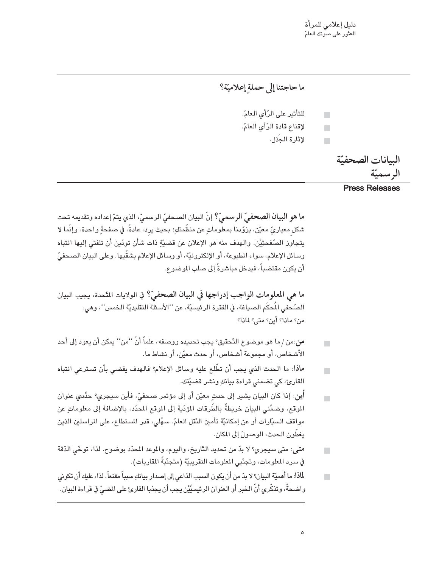<mark>دليل إعلامي للمرأة</mark><br>العثور على صوتك العامّ

ما حاجتنا إلى حملة إعلاميّة؟ للتأثير على الرّأى العامّ.  $\overline{\phantom{a}}$ لإقناع قادة الرّأى العامّ.  $\blacksquare$ لإثارة الجَدَل.  $\overline{\phantom{a}}$ 

البيانات الصحفيّة الرسميّة

**Press Releases** 

ما هو البيان الصحفيِّ الرسميِّ؟ إنّ البيان الصحفيّ الرسميّ، الذي يتمّ إعداده وتقديمه تحت شكل معياريٍّ معيّن، يزوّدنا بمعلوماتٍ عن منظّمتكِ؛ بحيث يرد، عادةً، في صفحةٍ واحدة، وإنّما لا يتجاوِّز الصَّفحتِيْن. والهدف منه هو الإعلان عن قضيّةٍ ذات شأن تودّين أن تلفتي إليها انتباه وسائل الإعلام، سواء المطبوعة، أو الإلكترونيّة، أو وسائل الإعلام بشقّيها. وعلى البيان الصحفيّ أن يكون مقتضباً، فيدخل مباشرةً إلى صلب الموضوع.

ما هي المعلومات الواجب إدراجها في البيان الصحفيّ؟ في الولايات المَّحدة، يجيب البيان الصّحفي المُحكَم الصياغة، في الفقرة الرئيسيّة، عن ''الأسئلة التقليديّة الخمس''، وهي: من؟ ماذا؟ أين؟ متى؟ لماذا؟

- من:من / ما هو موضوع الدَّحقيق؟ يجب تحديده ووصفه، علماً أنَّ ''من'' يمكن أن يعود إلى أحد  $\overline{\phantom{a}}$ الأشخاص، أو مجموعة أشخاص، أو حدث معيّن، أو نشاط ما.
- ماذا: ما الحدث الذي يجب أن تطَّلع عليه وسائل الإعلام؟ فالهدف يقضي بأن تسترعي انتباه  $\blacksquare$ القارئ، کی تضمنی قراءة بیانكِ ونشر قضيّتك.
- أ**ين**: إذا كان البيان يشير إلى حدثٍ معيّن أو إلى مؤتمر صحفىّ، فأين سيجري؟ حدِّدي عنوان  $\mathbf{r}$ الموقع، وضمِّني البيان خريطةً بالطِّرقات المؤدِّية إلى الموقع المحدِّد، بالإضافة إلى معلوماتٍ عن مواقف السيّارات أو عن إمكانيّة تأمين النّقل العامّ. سهِّلي، قدر المستطاع، على المراسلين الذين يغطِّون الحدث، الوصولَ إلى المكان.
- متى: متى سيجري؟ لا بدّ من تحديد التَّاريخ، واليوم، والموعد المحدّد بوضوح. لذا، توخّي الدّقة  $\blacksquare$ في سرد المعلومات، وتجنّبي المعلومات التقريبيّة (متجنّبةً المقاربات).
- .<br>لماذا: ما أهميّة البيان؟ لا بدّ من أن يكون السبب الدّاعي إلى إصدار بيانكِ سبباً مقنعاً. لذا، عليك أن تكوني  $\blacksquare$ واضحةً، وتذكَّري أنَّ الخبر أو العنوان الرئيسيَّيْن يجب أن يجذبا القارئ على الضيِّ في قراءة البيان.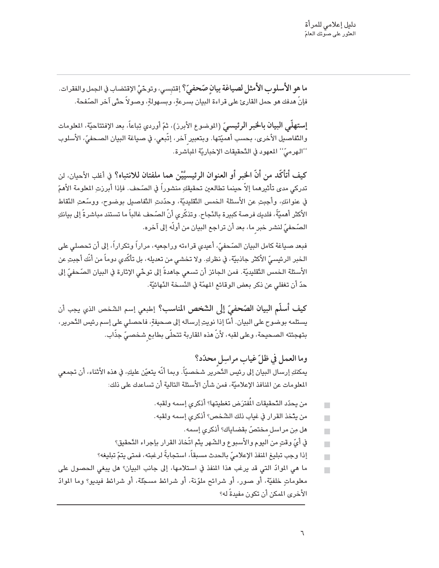ما هو الأسلوب الأمثل لصياغة بيانٍ صّحفيٍّ؟ إقتبِسي، وتوخّيْ الإقتضاب في الجمل والفقرات. فإنَّ هدفك هو حمل القارئ على قراءة البيان بسرعةٍ، وبسـهولةٍ، وصـولاً حتَّى آخر الصَّفحة.

إستهلَّى البيان بالخبر الرئيسيِّ (الموضوع الأبرز)، ثمّ أوردي تِباعاً، بعد الإفتتاحيَّة، المعلومات والتَّفاصيل الأُخرى، بحسب أهميّتها. وبتعبير آخر، إتّبعى، في صياغة البيان الصحفيّ، الأسلوب ''الهرميّ'' المعهود في التّحقيقات الإخباريّة المباشرة.

كيف أتأكَّد من أنَّ الخبر أو العنوان الرئيسيَّيْن هما ملفتان للانتباه؟ في أغلب الأحيان، لن تدركي مدى تأثيرهما إلاّ حينما تطالعين تحقيقكِ منشوراً في الصّحف. فإذا أبرزتِ المعلومة الأهمّ في عنوانكِ، وأجبتِ عن الأسئلة الخمس التَّقليديّة، وحدّدتِ التَّفاصيلِ بوضوح، ووسِّعتِ النَّقاط الأكثر أهميَّةً، فلديك فرصة كبيرة بالنّجاح. وتذكّرى أنّ الصّحف غالباً ما تستند مباشرةً إلى بيانكِ الصّحفيّ لنشر خبر ما، بعد أن تراجع البيان من أولّه إلى آخره.

فبعد صياغة كامل البيان الصّحفيّ، أعيدي قراءته وراجعيه، مراراً وتكراراً، إلى أن تحصلي على الـخبر الرئيسيِّ الأكثر جاذبيّة، في نظركِ. ولا تـخشـي من تعديله، بل تأكّدي دوماً من أنّك أجبتِ عن الأسئلة الخمس التَّقليديّة. فمن الجائز أن تسعى جاهدةً إلى توحِّي الإثارة في البيان الصّحفيّ إلى حدّ أن تغفلي عن ذكر بعض الوقائع المهمّة في النّسخة النّهائيّة.

كيف أسلَّم البيان الصَّحفيّ إلى الشَّخص المناسب؟ إطبعي إسم الشَّخص الذي يجب أن يستلمه بوضوح على البيان. أمّا إذا نويتِ إرساله إلى صحيفةٍ، فاحصلي على إسم رئيس التَّحرير، بتهجئته الصحيحة، وعلى لقبه، لأنّ هذه القاربة تتحلّى بطابع شخصىّ جذّاب.

وما العمل في ظلّ غياب مراسِل محدّد؟ يمكنكِ إرسال البيان إلى رئيس التَّحرير شخصيّاً. وبما أنَّه يتعيّن عليكِ، في هذه الأثناء، أن تجمعى المعلومات عن المنافذ الإعلاميّة، فمن شأن الأسئلة التالية أن تساعدك على ذلك:

- من يحدّد التّحقيقات المُفترَض تغطيتها؟ أذكرى إسمه ولقبه.  $\overline{\phantom{a}}$ من يتّخذ القرار في غياب ذلك الشّخص؟ أذكر*ى* إسمه ولقبه.  $\blacksquare$ هل مِن مراسل مختصّ بقضاياك؟ أذكرى إسمه.  $\blacksquare$ في أيِّ وقتٍ من اليوم والأسبوع والشّهر يتّم اتّخاذ القرار بإجراء التّحقيق؟  $\Box$
- إذا وجب تبليغ المنفذ الإعلاميّ بالحدث مسبقاً، استجابةً لرغبته، فمتى يتمّ تبليغه؟  $\blacksquare$
- ما هي الموادّ التي قد يرغب هذا المنفذ في استلامها، إلى جانب البيان؟ هل يبغي الحصول على معلوماتِ خلفيَّة، أو صور، أو شرائح ملوّنة، أو شرائط مسجّلة، أو شرائط فيديو؟ وما الموادّ الأخرى المكن أن تكون مفيدةً له؟

 $\blacksquare$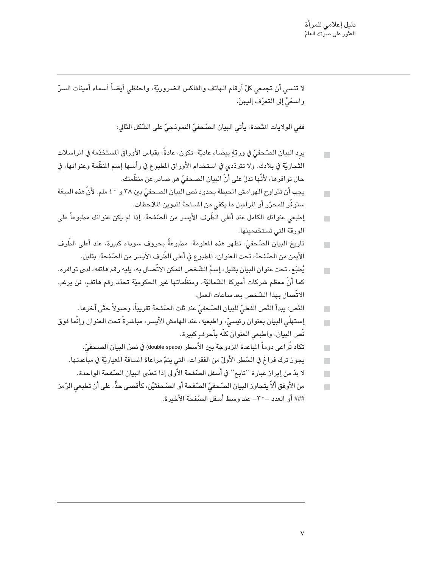لا تنسى أن تجمعي كلّ أرقام الهاتف والفاكس الضروريّة، واحفظى أيضاً أسماء أمينات السرّ واسعَىّْ إلى التعرّف إليهنّ.

ففي الولايات النَّحدة، يأتي البيان الصَّحفيِّ النموذجيِّ على الشَّكل التَّالي:

- يرد البيان الصّحفيّ في ورقةٍ بيضاء عاديّة، تكون، عادةً، بقياس الأوراق المستخدَمة في المراسلات  $\blacksquare$ التَّجاريَّة في بلادك. ولا تتردَّدي في استخدام الأوراق المطبوع في رأسـها إسـم المنظَّمة وعنوانـها، في حال توافرها، لأَنَّها تدلّ على أنّ البيان الصـحفيّ هو صـادر عن منظَّمتك.
- يجب أن تتراوح الـهوامش المحيطة بحدود نص البيان الصـحفيّ بين ٣٨ و ٤٠ ملم، لأنّ هذه السِعَة  $\blacksquare$ ستوفَّر للمحرّر أو المراسِل ما يكفى من المساحة لتدوين الملاحظات.
- إطبعي عنوانك الكامل عند أعلى الطَّرف الأيسر من الصَّفحة، إذا لم يكن عنوانك مطبوعاً على  $\blacksquare$ الورقة التي تستخدمينها.
- .<br>تاريخ البيان الصّحفيّ: تظهر هذه المعلومة، مطبوعةً بحروف سوداء كبيرة، عند أعلى الطّرف  $\Box$ الأيمن من الصّفحة، تحت العنوان، المطبوع في أعلى الطّرف الأيسر من الصّفحة، بقليل.
- يُطبَع، تحت عنوان البيان بقليل، إسمُ الشّخص المكن الاتّصال به، يليه رقم هاتفه، لدى توافره.  $\blacksquare$ كما أنّ معظم شركات أميركا الشّماليّة، ومنظّماتها غير الحكوميّة تحدّد رقم هاتف، لمن يرغب الاتِّصال بهذا الشّخص بعد ساعات العمل.
	- النَّص: يبدأ النِّص الفعليّ للبيان الصَّحفيّ عند ثلث الصّفحة تقريباً، وصولاً حتّى آخرها.  $\blacksquare$
- إستهلّي البيان بعنوان رئيسيّ، واطبعيه، عند الـهامش الأَيسر، مباشرةً تحت الـعنوان وإنّما فوق  $\Box$ نّص البيان. واطبعي العنوان كلّه بأحرف كبيرة.
	- تكاد تُراعى دوماً المباعدة المزدوجة بين الأسطر (double space) في نصّ البيان الصـحفيّ.  $\overline{\phantom{a}}$
	- يجوز ترك فراغ في السّطر الأولّ من الفقرات، التي يتمّ مراعاة المسافة المعياريّة في مباعدتها.  $\blacksquare$ 
		- لا بدّ من إبراز عبارة ''تابع'' في أسفل الصّفحة الأولى إذا تعدّى البيان الصّفحة الواحدة.  $\blacksquare$
- من الأوفق ألاّ يتجاوز البيان الصّحفيّ الصّفحة أو الصّحفتَيْن، كأقصى حدٍّ، على أن تطبعي الرّمز  $\blacksquare$ ### أو العدد – ٣٠- عند وسط أسفل الصّفحة الأخبرة.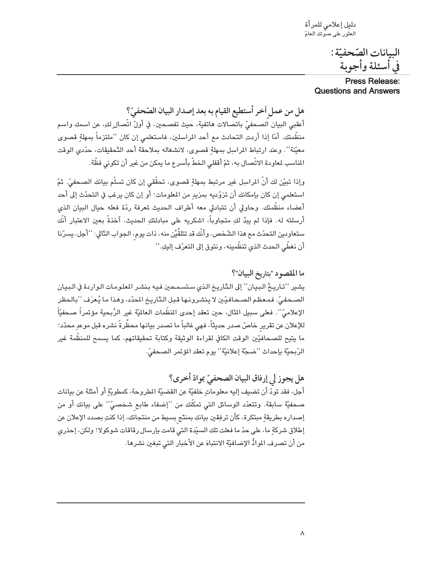دليل إعلامي للمرأة ۔<br>العثور على صوتك العامّ

> البيانات الصّحفيّة : في أسئلة وأجوبة

#### **Press Release: Questions and Answers**

هل من عمل أخر أستطيع القيام به بعد إصدار البيان الصّحفيّ؟ أعقبي البيان الصحفيِّ باتصالات هاتفية، حيث تفصحين، في أولّ اتَّصال ٍلكِ، عن اسمك واسم منظَّمتك. أمّا إذا أردتِ التحادث مع أحد المراسلين، فاستعلمي إن كان ''ملتزماً بمهلةٍ قصوى معيّنة''. وعند ارتباط المراسِل بمهلةٍ قصوى، لانشغاله بملاحقة أحد التّحقيقات، حدّدي الوقت المناسب لمعاودة الاتّصال به، ثمّ أقفلى الخطّ بأسرع ما يمكن من غير أن تكونى فظّة.

وإذا تبيّن لك أنّ المراسِل غير مرتبط بمهلةٍ قصوى، تحقّقي إن كان تسلّم بيانك الصحفيّ. ثمّ استعلمي إن كان بإمكانك أن تزوّديه بمزيدٍ من المعلومات؛ أو إن كان يرغب في التحدّث إلى أحد أعضاء منظَّمتك. وحاولي أن تتبادلي معه أطراف الحديث لمعرفة ردّة فعله حيال البيان الذي أرسلته له. فإذا لم يبدُ لكِ متجاوباً، اشكريه على مبادلتكِ الحديث، آخذةً بعين الاعتبار أنَّك ستعاودين التحدّث مع هذا الشّخص، وأنَّك قد تتلقَّيْن منه، ذات يوم، الجواب التَّالي: ''أجل، يسرّنا أن نغطّى الحدث الذي تنظّمينه، ونتوق إلى التعرّف إليكِ.''

ما المقصود "بتاريخ البيان"؟ يشير ''تـاريـخُ الـبـيان'' إلى الـتّاريخ الـذي سـتسـمـحين فـيه بـنشـر المعلـومـات الـواردة في الـبـيـان الصحفيِّ. فمعظم الصحافيِّين لا ينشرونها قبل الدَّاريخ المحدِّد، وهذا ما يُعرَف ''بالحظر الإعلاميّ''. فعلى سبيل المثال، حين تعقد إحدى المنظّمات العالميّة غير الرِّبحية مؤتمراً صحفيّاً للإعلان عن تقرير خاصّ صدر حديثاً، فهي غالباً ما تصدر بيانها محظِّرةً نشره قبل موعدٍ محدّد؛ ما يتيح للصحافيّين الوقت الكافي لقراءة الوثيقة وكتابة تحقيقاتهم، كما يسمح للمنظّمة غير الرّبحيّة بإحداث ''ضجّة إعلانيّة'' يوم تعقد المؤتمر الصحفيّ.

هل يجوز لي إرفاق البيان الصحفيّ بموادّ أخرى؟

أجل، فقد تودّ أن تضيف إليه معلوماتٍ خلفيّة عن القضيّة المطروحة، كمطويّةٍ أو أمثلة عن بيانات صحفيّة سابقة. وتتعدّد الوسائل التي تمكّنك من ''إضفاء طابع شخصيّ'' على بيانك أو من إصداره بطريقةٍ مبتكرة، كأن ترفِقين بيانك بمنتَج بسيط من منتجاتك، إذا كنتِ بصدد الإعلان عن إطلاق شركةٍ ما، على حدّ ما فعلت تلك السيّدة التي قامت بإرسال رقاقات شوكولا! ولكن، إحذري من أن تصرف الموادُّ الإضافيَّة الانتباهَ عن الأخبار التي تبغين نشرها.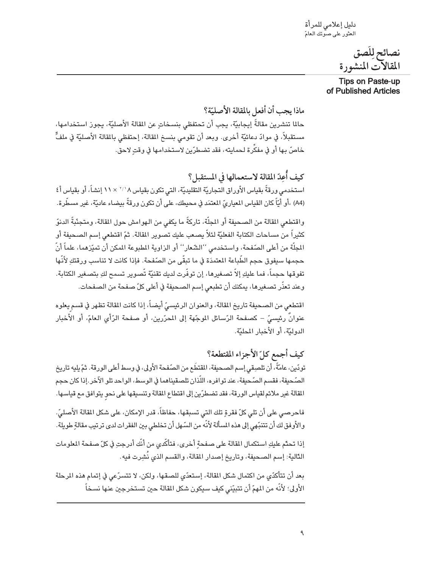دليل إعلامي للمرأة العثور على صوّتك العامّ

> نصائح لِلَصق المقالآت المنشورة

**Tips on Paste-up** of Published Articles

ماذا بجب أن أفعل بالمقالة الأصليّة؟ حالما تنشرين مقالةً إيجابيّة، يجب أن تحتفظي بنسخاتٍ عن المقالة الأصليّة، يجوز استخدامها، مستقبلاً، في موادّ دعائيّة أخرى. وبعد أن تقومي بنسخ المقالة، إحتفظي بالمقالة الأصليّة في ملفٍّ خاصّ بها أو في مفكِّرة لحمايته، فقد تضطرّين لاستخدامها في وقتٍ لاحق.

كيف أُعِدّ المقالة لاستعمالها في المستقبل؟ استخدمي ورقةً بقياس الأوراق التجاريّة التقليديّة، التي تكون بقياس ٨ ' / ` × ١١ إنشاً، أو بقياس أ ٤ (A4) ،أو أيّاً كان القياس المعياريّ المعتمَد في محيطك، على أن تكون ورقةً بيضاء عاديّة، غير مسطّرة.

واقتطعي المقالة من الصحيفة أو المجلَّة، تاركةً ما يكفي من الهوامش حول المقالة، ومتجنَّبةً الدنوّ كثيراً من مساحات الكتابة الفعليّة لئلاّ يصعب عليك تصوير المقالة. ثمّ اقتطعى إسم الصحيفة أو المجلَّة من أعلى الصّفحة، واستخدمى ''الشّعار'' أو الزاوية المطبوعة المكن أن تميّزهما، علماً أنّ حجمها سيفوق حجم الطَّباعة المعتمدَة في ما تبقَّى من الصّفحة. فإذا كانت لا تناسب ورقتكِ لأنَّها تفوقها حجماً، فما عليكِ إلاّ تصغيرها، إن توفَّرت لديك تقنيّة تّصوير تسمح لكِ بتصغير الكتابة. وعند تعذَّر تصغيرها، يمكنك أن تطبعي إسم الصحيفة في أعلى كلِّ صفحة من الصفحات.

اقتطعي من الصحيفة تاريخ المقالة، والعنوان الرئيسيِّ أيضاً، إذا كانت المقالة تظهر في قسم يعلوه عنوانٌ رئيسيٍّ – كصفحة الرّسائل الموجّهة إلى المحرّرين، أو صفحة الرّأي العامّ، أو الأخبار الدوليّة، أو الأخبار المحليّة.

كيف أجمع كلِّ الأجزاء المقتطعة؟ تودّين، عامّةً، أن تلصِقي إسم الصحيفة، المقتطَع من الصّفحة الأولى، في وسط أعلى الورقة. ثمّ يليه تاريخ الصّحيفة، فقسم الصّحيفة، عند توافره، اللّذان تلصقيناهما في الوسط، الواحد تلو الآخر.إذا كان حجم المقالة غير ملائم لقياس الورقة، فقد تضطرّين إلى اقتطاع المقالة وتنسيقها على نحو يتوافق مع قياسها.

فاحرصى على أن تلى كلّ فقرةٍ تلك التي تسبقها، حفاظاً، قدر الإمكان، على شكل القالة الأصليّ. والأوفق لك أن تتنبَّهي إلى هذه المسألة لأنَّه من السَّهل أن تخلطي بين الفقرات لدى ترتيب مقالةٍ طويلة.

إذا تحدِّم عليكِ استكمال المقالة على صفحة أخرى، فتأكَّدى من أنَّك أدرجتِ في كلِّ صفحة الملومات الدَّالية: إسم الصحيفة، وتاريخ إصدار المقالة، والقسم الذي نُشِرت فيه.

بعد أن تتأكدّى من اكتمال شكل المقالة، إستعدّى للصقها، ولكن، لا تتسرّعى في إتمام هذه المرحلة الأولى؛ لأنَّه من المهمّ أن تتبيَّني كيف سيكون شكل القالة حين تستخرجين عنها نسخاً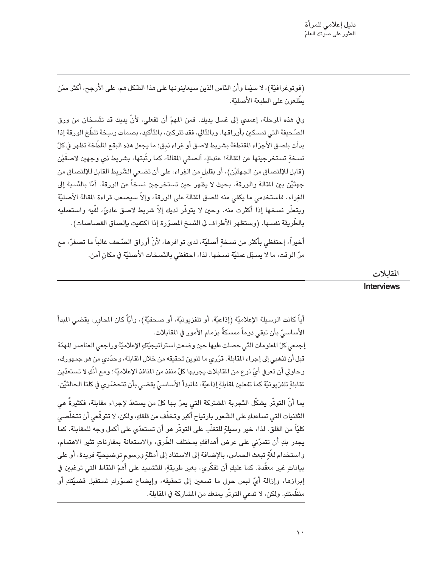(فوتوغرافيَّة)، لا سيِّما وأن النَّاس الذين سيعاينونها على هذا الشَّكل هم، على الأرجح، أكثر ممَّن بطِّلعون على الطبعة الأصليّة.

وفي هذه المرحلة، إعمدي إلى غسل يديك. فمن المهمّ أن تفعلي، لأنّ يديك قد تتَّسخان من ورق الصّحيفة التي تمسكين بأوراقها. وبالدَّالي، فقد تتركين، بالدَّأكيد، بصمات وسِخة تلطّخ الورقة إذا بدأت بلصق الأجزاء المقتطعَة بشريط لاصق أو غِراء دَبق؛ ما يجعل هذه البقع الملطَّخة تظهر في كلّ نسخةِ تستخرجينها عن المقالة! عندئذٍ، ألصقي المقالة، كما رتّبتها، بشريط ذي وجهين لاصقَيْن (قابل للإلتصاق من الجهنَّيْن)، أو بقليل من الغِراء، على أن تضعي الشَّريط القابل للإلتصاق من جهتَيْن بين المقالة والورقة، بحيث لا يظهر حين تستخرجين نسخاً عن الورقة. أمّا بالنّسبة إلى الغِراء، فاستخدمي ما يكفي منه للصق المقالة على الورقة، وإلاّ سيصعب قراءة المقالة الأصليّة ويتعذَّر نسخها إذا أكثرت منه. وحين لا يتوفَّر لديك إلاّ شريط لاصق عاديٍّ، لفَّيه واستعمليه بِالطِّرِيقة نفسها. (وستظهر الأطراف في النِّسخ المصوِّرة إذا اكتفيت بإلصاق القصاصات). أخيراً، إحتفظي بأكثر من نسخةٍ أصليّة، لدى توافرها، لأنّ أوراق الصّحف غالباً ما تصفرّ، مع

مرّ الوقت، ما لا يسهّل عمليّة نسخها. لذا، احتفظى بالنّسخات الأصليّة في مكان آمن.

المقابلات

Interviews

أياً كانت الوسيلة الإعلاميّة (إذاعيّة، أو تلفزيونيّة، أو صحفيّة)، وأيّاً كان المحاور، يقضى المدأ الأساسيِّ بأن تبقى دوماً ممسكةً بزمام الأمور في المقابلات.

إجمعي كلِّ المعلومات الدَّى حصلت عليها حين وضعتِ استراتيجيّتَّكِ الإعلاميّة وراجعي العناصر المهمّة قبل أن تذهبي إلى إجراء المقابلة. قرّري ما تنوين تحقيقه من خلال المقابلة، وحدّدي من هو جمهورك، وحاولي أن تعرفي أيِّ نوع من القابلات يجريها كلِّ منفذ من المنافذ الإعلاميّة؛ ومع أنَّكِ لا تستعدّين لقابلةِ تلفزيونيّة كما تفعلين لقابلةِ إذاعيّة، فالبدأ الأساسيّ يقضى بأن تتحضّرى في كلتا الحالتَيْن.

بما أنّ التوتّر يشكّل التّجربة المشتركة التي يمرّ بها كلّ من يستعدّ لإجراء مقابلة، فكثيرةٌ هي التَّقنيات التي تساعدكِ على الشَّعور بارتياح أكبر وتخفَّف من قلقكِ، ولكن، لا تتوقَّعي أن تتخلَّصي كليّاً من القلق. لذا، خير وسيلةٍ للتغلّب على التوتّر هو أن تستعدّى على أكمل وجه للمقابلة. كما يجدر بكِ أن تتمرّني على عرض أهدافكِ بمختلف الطّرق، والاستعانة بمقارناتٍ تثير الاهتمام، واستخدام لغَّةٍ تبعث الحماس، بالإضافة إلى الاستناد إلى أمثلةٍ ورسوم توضيحيَّة فريدة، أو على بياناتٍ غير معقّدة. كما عليكِ أن تفكّري، بغير طريقةٍ، للتّشديد على أهمّ النّقاط التي ترغبين في إبرازها، وإزالة أيِّ لبس حول ما تسعين إلى تحقيقه، وإيضاح تصوَّركِ لمستقبل قضيَّتكِ أو منظَّمتكِ. ولكن، لا تدعى التوتَّر يمنعك من المشاركة في المقابلة.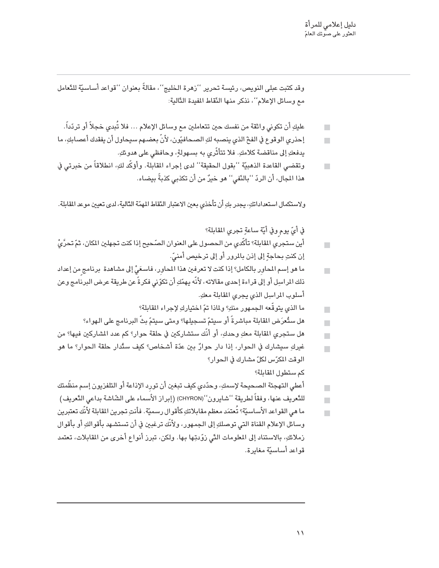وقد كتبت عبلي النويص، رئيسة تحرير ''زهرة الخليج''، مقالةً بعنوان ''قواعد أساسيّة للتّعامل مع وسائل الإعلام''، نذكر منها النّقاط المفيدة التّالية:

- عليكِ أن تكوني واثقة من نفسك حين تتعاملين مع وسائل الإعلام … فلا تُبدى خجلاً أو تردّداً.  $\Box$
- إحذري الوقوع في الفخّ الذي ينصبه لكِ الصحافيّون، لأنّ بعضهم سيحاول أن يفقدك أعصابكِ، ما يدفعكِ إلى مناقضة كلامكِ. فلا تتأثَّري به بسهولةٍ، وحافظي على هدوئكِ.
- وتقضى القاعدة الذهبيَّة ''بقول الحقيقة'' لدى إجراء المقابلة. وأؤكّد لكِ، انطلاقاً من خبرتي في  $\blacksquare$ هذا الجال، أن الردّ ''بالنَّفى'' هو خبرٌ من أن تكذبي كذبةً بيضاء.

ولاستكمال استعداداتكِ، يجدر بكِ أن تأخذي بعين الاعتبار النّقاط المهمّة الدَّالية، لدى تعيين موعد المقابلة.

في أيّ يوم وفي أيّة ساعةٍ تجري المقابلة؟

- أين ستجري القابلة؟ تأكَّدي من الحصول على العنوان الصّحيح إذا كنت تجهلين المكان، ثمّ تحرَّيُّ  $\mathbf{r}$ إن كنتِ بحاجةٍ إلى إذن بالمرور أو إلى ترخيص أمنيّ.
- ما هو إسم المحاور بالكامل؟ إذا كنت لا تعرفين هذا المحاور، فاسعَىُّ إلى مشاهدة برنامج من إعداد  $\Box$ ذلك المراسِل أو إلى قراءة إحدى مقالاته، لأنَّه يهمِّكِ أن تكوّنى فكرةً عن طريقة عرض البرنامج وعن أسلوب المراسِل الذي يجرى المقابلة معكِ.
	- ما الذي يتوقَّعه الجمهور منكِ؟ ولماذا تمّ اختياركِ لإجراء المقابلة؟  $\blacksquare$
	- هل ستُعرَض المقابلة مباشرةً أو سيتمّ تسجيلها؟ ومتى سيتمّ بثّ البرنامج على الهواء؟  $\blacksquare$
- هل ستجري المقابلة معكِ وحدكِ، أو أنَّك ستشاركين في حلقة حوار؟ كم عدد المشاركين فيها؟ من п
- غيركِ سيشارك في الحوار، إذا دار حوارٌ بين عدّة أشخاص؟ كيف ستَّدار حلقة الحوار؟ ما هو  $\Box$ الوقت المكرّس لكلّ مشارك في الحوار؟ كم ستطول المقابلة؟
- أعطى التهجئة الصحيحة لإسمكِ، وحدّدي كيف تبغين أن تورد الإذاعة أو التلفزيون إسم منظّمتك  $\blacksquare$
- للتّعريف عنها، وفقاً لطريقة ''شايرون''(CHYRON) (إبراز الأسماء على الشّاشة بداعي التّعريف)  $\mathcal{L}_{\mathcal{A}}$
- ما هي القواعد الأساسيّة؟ تُعتمَد معظم مقابلاتكِ كأقوال رسميّة. فأنتِ تجرين المقابلة لأنّك تعتبرين  $\blacksquare$
- وسائل الإعلام القناة التي توصلكِ إلى الجمهور، ولأنَّك ترغبين في أن تستشهد بأقوالكِ أو بأقوال زملائكِ، بالاستناد إلى المعلومات التَّى زوّدتِها بها. ولكن، تبرز أنواع أخرى من المقابلات، تعتمد قواعد أساسيّة مغايرة.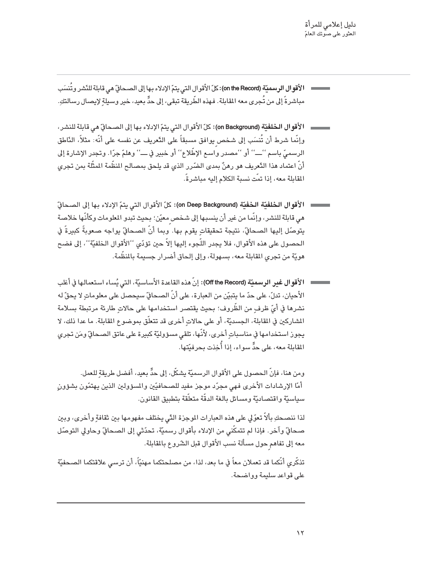- ا **لأقوال الرسميّة (on the Record):** كلّ الأقوال التي يتمّ الإدلاء بها إلى الصحافّ هي قابلة للنّشر وتُنسَب مباشرةً إلى من تُجرى معه القابلة. فهذه الطَّريقة تبقى، إلى حدٍّ بعيد، خير وسيلةٍ لإيصال رسالتكِ.
- وإنَّما شرط أن تُنسَب إلى شخص يوافق مسبقاً على التَّعريف عن نفسه على أنَّه: مثلاً، النَّاطق الرسميِّ باسم ''ــــ'' أو ''مصدر واسمِ الإطِّلاع'' أو خبير في ـــ'' وهلمّ جرّا. وتجدر الإشارة إلى أنّ اعتماد هذا الدَّعريف هو رهنٌ بمدى الضّرر الذي قد يلحق بمصالح المنظّمة المثّلة بمن تجري القابلة معه، إذا تمّت نسبة الكلام إليه مباشر ةً.
- هي قابلة للنشر، وإنَّما من غير أن ينسبها إلى شخص معيّن؛ بحيث تبدو المعلومات وكأنَّها خلاصة يتوصّل إليها الصحافيّ، نتيجة تحقيقاتٍ يقوم بها. وبما أنّ الصحافيّ يواجه صعوبةً كبيرةً في الحصول على هذه الأقوال، فلا يجدر اللَّجوء إليها إلاَّ حين تؤدّي ''الأقوال الخلفيّة''، إلى فضح هويّة من تجرى المقابلة معه، بسـهولة، وإلى إلـحاق أضرار جسيمة بالمنظّمة.
- الأقوال غبر الرسميّة (Off the Record): إنّ هذه القاعدة الأساسيّة، التي يُساء استعمالها في أغلب الأحيان، تدلّ، على حدّ ما يتبيّن من العبارة، على أنّ الصحافّ سيحصل على معلوماتٍ لا يحقّ له نشرها في أيِّ ظرف من الظَّروف؛ يحيث يقتصر استخدامها على حالات طارئة مرتبطة يسلامة المشاركين في القابلة، الجسديّة، أو على حالاتِ أخرى قد تتعلّق بموضوع القابلة. ما عدا ذلك، لا يجوز استخدامها في مناسبات أخرى، لأنّها، تلقى مسؤوليّة كبيرة على عاتق الصحافّ ومَن تجرى القابلة معه، على حدٍّّ سواء، إذا أُخذت بحرفنَّتها.

ومِن هنا، فإنّ الحصول على الأقوال الرسميّة بشكّلٍ، إلى حدٍّ بعيد، أفضل طريقة للعمل. أمّا الإرشادات الأخرى فهي مجرّد موجز مفيد للصحافيّين والمسؤولين الذين يهتمّون بشؤون سياسيّة واقتصاديّة ومسائل بالغة الدقّة متعلّقة بتطبيق القانون.

لذا ننصـحكِ بألاً تعوّل على هذه العبارات الموجزة الدّي يختلف مفهومها بين ثقافة وأخرى، وبين صحافٍّ وآخر. فإذا لم تتمكّني من الإدلاء بأقوال رسميّة، تحدّثي إلى الصحافٍّ وحاولي التوصّل معه إلى تفاهم حول مسألة نسب الأقوال قبل الشّروع بالمقابلة.

تذكّري أنّكما قد تعملان معاً في ما بعد، لذا، من مصلحتكما مهنيّاً، أن ترسى علاقتكما الصـحفيّة على قواعد سليمة وواضحة.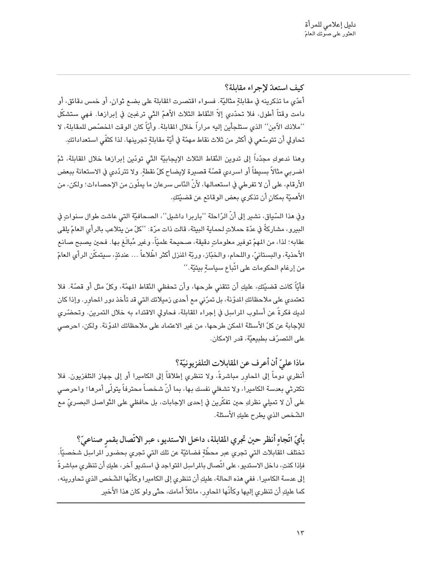كيف استعدّ لإجراء مقابلة؟

أعدّي ما تذكرينه في مقابلةٍ مثاليّة. فسواء اقتصرت المقابلة على بضـع ثوانٍ، أو خمس دقائق، أو دامت وقتاً أطول، فلا تحدّدي إلاّ النّقاط الثلاث الأهمّ التّى ترغبين في إبرازها. فهي ستشكّل ''ملاذك الآمِن'' الذي ستلجأين إليه مراراً خلال المقابلة. وأيّاً كان الوقت المخصّص للمقابلة، لا تحاولي أن تتوسّعي في أكثر من ثلاث نقاط مهمّة في أيّة مقابلةٍ تجرينها. لذا كثفّي استعداداتكِ.

وهنا ندعوكِ مجدّداً إلى تدوين النّقاط الثلاث الإيجابيّة التّي تودّين إبرازها خلال المقابلة، ثمّ اضربي مثالاً بسيطاً أو اسردي قصّة قصيرة لإيضاح كلّ نقطةٍ. ولا تتردّدي في الاستعانة ببعض الأرقام، على أن لا تفرطي في استعمالها، لأنّ الدّاس سرعان ما يملّون من الإحصاءات؛ ولكن، من الأهميّة بمكان أن تذكري بعض الوقائع عن قضيّتكِ.

وفي هذا السّياق، نشير إلى أنّ الرّاحلة ''باربرا داشيل''، الصحافيّة التي عاشت طوال سنواتٍ في البيرو، مشاركةً في عدّة حملاتٍ لحماية البيئة، قالت ذات مرّة: ''كلّ من يتلاعب بالرأى العامّ يلقى عقابه؛ لذا، من المهمّ توفير معلوماتٍ دقيقة، صحيحة علميّاً، وغير مُبالَغ بها. فحين يصبح صانع الأحذية، والبستانيّ، واللحام، والخبّاز، وربّة المنزل أكثر اطِّلاعاً … عندئذٍ، سيتمكّن الرأى العامّ من إرغام الحكومات على اتّباع سياسةٍ بيئيّة.''

فأيّاً كانت قضيّتكِ، عليكِ أن تتقنى طرحها، وأن تحفظي النّقاط المهمّة، وكلّ مثل أو قصّة. فلا تعتمدي على ملاحظاتكِ المدوّنة، بل تمرّني مع أحدى زميلاتك التي قد تأخذ دور المحاور. وإذا كان لديك فكرةً عن أسلوب المراسِل في إجراء المقابلة، فحاولي الاقتداء به خلال التمرين. وتحضّرى للإجابة عن كلِّ الأسئلة المكن طرحها، من غير الاعتماد على ملاحظاتك المدِّنة. ولكن، احرصي على التصرّف بطبيعيّة، قدر الإمكان.

ماذا علىّ أن أعر ف عن المقابلات التلفزيو نيّة؟ أنظري دوماً إلى المحاور مباشرةً، ولا تنظري إطلاقاً إلى الكاميرا أو إلى جهاز التلفزيون. فلا تكترثى بعدسة الكاميرا، ولا تشغلى نفسك بها، بما أنّ شخصاً محترفاً يتولّى أمرها! واحرصى على أن لا تميلي نظركِ حين تفكَّرين في إحدى الإجابات، بل حافظي على الدَّواصل البصريِّ مع الشّخص الذي يطرح عليك الأسئلة.

بِأَيِّ اتَّجاهِ أنظر حين تجري المقابلة، داخل الاستديو، عبر الاتِّصال بقمر صناعيٌّ؟ تختلف المقابلات التي تجري عبر محطَّةٍ فضائيَّة عن تلك التي تجري بحضور المراسِل شخصيّاً. فإذا كنتِ، داخل الاستديو، على اتِّصال بالمراسِل المتواجد في استديو آخر، عليكِ أن تنظرى مباشرةً إلى عدسة الكاميرا. ففي هذه الحالة، عليكِ أن تنظري إلى الكاميرا وكأنّها الشّخص الذي تحاورينه، كما عليكِ أن تنظري إليها وكأنّها المحاور، ماثلاً أمامك، حتّى ولو كان هذا الأخير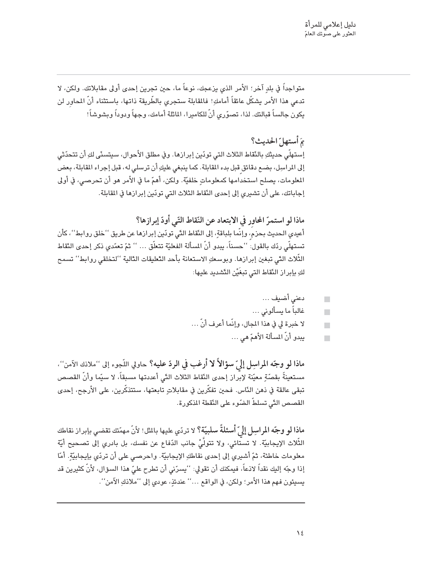متواجداً في بلدٍ آخر؛ الأمر الذي يزعجك، نوعاً ما، حين تجرين إحدى أولى مقابلاتك. ولكن، لا تدعي هذا الأمر يشكِّل عائقاً أمامكِ! فالمقابلة ستجري بالطِّريقة ذاتها، باستثناء أنَّ المحاور لن يكون جالساً قبالتك. لذا، تصوّري أنّ للكاميرا، الماثلة أمامك، وجهاً ودوداً وبشوشاً!

بَمَ أَستهلّ الحديث؟ إستهلَّى حديثكِ بالنَّقاط الثلاث التي تودّين إبرازها. وفي مطلق الأحوال، سيتسنَّى لكِ أن تتحدّثى إلى المراسِل، بضـع دقائق قبل بدء المقابلة. كما ينبغي عليكِ أن ترسلي له، قبل إجراء المقابلة، بعض المعلومات، يصلح استخدامها كمعلوماتٍ خلفيّة. ولكن، أهمّ ما في الأمر هو أن تحرصي، في أولى إجاباتك، على أن تشيري إلى إحدى النّقاط الثلاث التي تودّين إبرازها في المقابلة.

ماذا لو استمرّ المحاور في الابتعاد عن النّقاط التّي أودّ إبرازها؟ أعيدي الحديث بحرْم، وإنَّما بلباقةٍ، إلى النَّقاط التَّي تودّين إبرازها عن طريق ''خلق روابط''، كأن تستهلّي ردّك بالقول: ''حسناً، يبدو أنّ المسألة الفعليّة تتعلّق … '' ثمّ تعمّدي ذكر إحدى النّقاط الثِّلاث التّي تبغين إبرازها. وبوسعكِ الاستعانة بأحد التّعليقات التّالية ''لتخلقي روابط'' تسمح لكِ بإبراز النّقاط التي تبغَيْن التّشديد عليها:

$$
\rule{2.0cm}{0.15mm}
$$

غالباً ما يسألونى …  $\blacksquare$ 

 $\overline{\phantom{a}}$ 

 $\Box$ 

- لا خبرة لي في هذا الجال، وإنَّما أعرف أنَّ …
	- يبدو أنّ المسألة الأهمّ هي …

ماذا لو وجّه المراسِل إلىّ سؤالاً لا أرغب في الردّ عليه؟ حاولي اللّجوء إلى ''ملانك الآمن''، مستعينةً بقصّةٍ معيّنة لإبراز إحدى النّقاط الثلاث التّي أعددتها مسبقاً، لا سيّما وأنّ القصص تبقى عالقة في ذهن النّاس. فحين تفكّرين في مقابلاتٍ تابعتها، ستتذكّرين، على الأرجح، إحدى القصص التّي تسلطّ الضّوء على النّقطة المذكورة.

ماذا لو وجّه المراسِل إلىّ أسئلةً سلبيّة؟ لا تردّي عليها بالمثل! لأنّ مهمّتك تقضى بإبراز نقاطك الثِّلاث الإيجابيّة. لا تستَّائي، ولا تتولَّىٰ جانب الدّفاع عن نفسك، بل بادري إلى تصحيح أيّة معلومات خاطئة، ثمّ أشيري إلى إحدى نقاطكِ الإيجابيّة. واحرصي على أن تردّي بإيجابيّةٍ. أمّا إذا وجَّه إليك نقداً لاذعاً، فيمكنك أن تقولي: ''يسرّنى أن تطرح عليّ هذا السؤال، لأنّ كثيرين قد يسيئون فهم هذا الأمر؛ ولكن، في الواقع …'' عندئذٍ، عودي إلى ''ملانكِ الآمن''.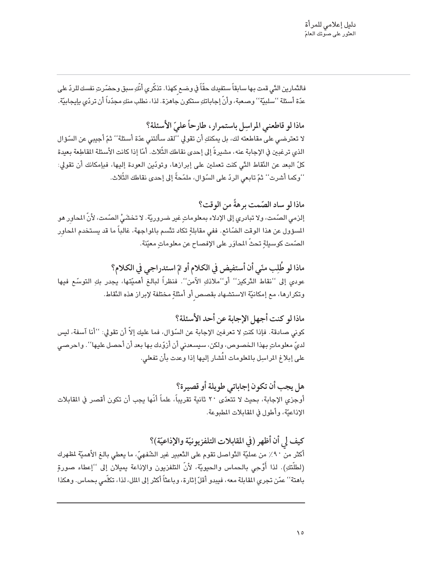فالنَّمارين التّي قمت بـها سـابقاً ستفيدك حقّاً في وضـع كهذا. تذكّري أنّكِ سبق وحضّرتِ نفسك للردّ على عدّة أسئلة ''سلبيّة'' وصعبة، وأنّ إجاباتكِ ستكون جاهزة. لذا، نطلب منكِ مجدّداً أن تردّي بإيجابيّة.

ماذا لو قاطعني المراسل باستمرار ، طارحاً علىّ الأسئلة؟ لا تعترضـى على مقاطعته لك، بل يمكنكِ أن تقولي ''لقد سألتنى عدّة أسئلة'' ثمّ أجيبى عن السّوّال الذي ترغبين في الإجابة عنه، مشيرةً إلى إحدى نقاطك الثِّلاث. أمّا إذا كانت الأسئلة المقاطِعة بعيدة كلِّ البعد عن النِّقاط التَّى كنت تعملين على إبرازها، وتودّين العودة إليها، فبإمكانك أن تقولي: ''وكما أشرت'' ثمّ تابعي الردّ على السّوّال، ملمّحةً إلى إحدى نقاطك الثّلاث.

ماذا لو ساد الصّمت برهةً من الوقت؟ إلرْمي الصّمت، ولا تبادري إلى الإدلاء بمعلوماتٍ غير ضروريّة. لا تخشَيُّ الصّمت، لأنّ المحاور هو المسؤول عن هذا الوقت الضّائع. ففي مقابلةٍ تكاد تتّسم بالمواجهة، غالباً ما قد يستخدم المحاور الصّمت كوسيلةٍ تحثّ المحاوَر على الإفصاح عن معلوماتٍ معيّنة.

ماذا لو طُلِب منّي أن أستفيض في الكلام أو تمّ استدراجي في الكلام؟ عودي إلى ''نقاط التَّركيز'' أو''ملاذكِ الآمن''. فنظراً لبالغ أهميّتها، يجدر بكِ التوسّعِ فيها وتكرارها، مع إمكانيَّة الاستشهاد بقصص أو أمثلةٍ مختلفة لإبراز هذه النَّقاط.

ماذا لو كنت أجهل الإجابة عن أحد الأسئلة؟ كوني صادقة. فإذا كنتِ لا تعرفين الإجابة عن السِّؤال، فما عليك إلاّ أن تقولي: ''أنا آسفة، ليس لدىّ معلوماتٍ بهذا الخصوص، ولكن، سيسعدنى أن أزوّدك بها بعد أن أحصل عليها''. واحرصى على إبلاغ المراسِل بالمعلومات المُشار إليها إذا وعدت بأن تفعلى.

هل يجب أن تكون إجاباتي طويلة أو قصيرة؟ أوجزي الإجابة، بحيث لا تتعدّى ٢٠ ثانية تقريباً، علماً أنّها يجب أن تكون أقصر في المقابلات الإذاعيّة، وأطول في المقابلات المطبوعة.

كيف لِي أن أظهر (في المقابلات التلفزيونيّة والإذاعيّة)؟ أكثر من ٩٠٪ من عمليّة التّواصل تقوم على التّعبير غير الشّفهيّ، ما يعطي بالغ الأهميّة لمظهرك (لطلّتكِ). لذا أَوْحِي بالحماس والحيويّة، لأنّ التلفزيون والإذاعة يميلان إلى ''إعطاء صورةِ باهتة'' عمّن تجري المقابلة معه، فيبدو أقلّ إثارة، وباعثاً أكثر إلى الملل، لذا، تكلّمي بحماس. وهكذا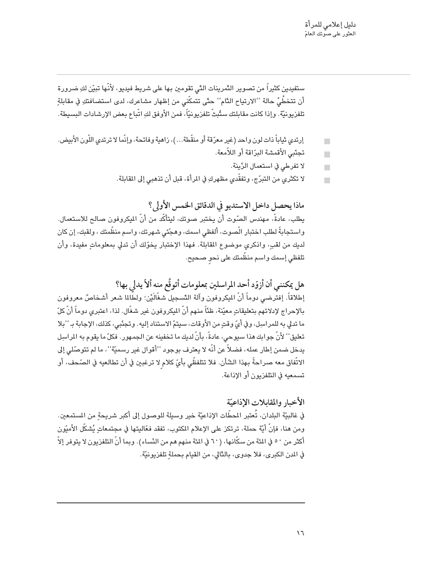ستفيدين كثيراً من تصوير التَّمرينات التَّى تقومين بـها على شريط فيديو، لأَنَّها تبيّن لكِ ضرورة أن تتخطَّىٰ حالة ''الارتياح النَّام'' حتّى تتمكَّنى من إظهار مشاعرك، لدى استضافتكِ في مقابلةٍ تلفزيونيّة. وإذا كانت مقابلتك ستُبثّ تلفزيونيّاً، فمن الأوفق لكِ اتّباع بعض الإرشادات البسيطة.

- إرتدى ثياباً ذات لون واحد (غير معرّقة أو منقّطة...)، زاهية وفاتحة، وإنّما لا ترتدى اللّون الأبيض.  $\blacksquare$ 
	- تجنّبي الأقمشة البرّاقة أو اللاّمعة.  $\Box$ 
		- لا تفرطي في استعمال الرِّينة.  $\blacksquare$
	- لا تكثري من التبرِّج، وتفقَّدي مظهركِ في المرأة، قبل أن تذهبي إلى المقابلة.

ماذا يحصل داخل الاستديو في الدقائق الخمس الأولى؟ يطلب، عادةً، مهندس الصّوت أن يختبر صوتك، ليتأكّد من أنّ الميكروفون صالح للاستعمال. واستجابةً لطلب اختبار الّصوت، ألفظي اسمك، وهجّئي شهرتك، واسم منظّمتك ، ولقبك، إن كان لديك من لقبٍ، واذكري موضوع المقابلة. فهذا الإختبار يخوّلك أن تدلى بمعلوماتٍ مفيدة، وأن تلفظي إسمك واسم منظّمتك على نحو صحيح.

هل يمكنني أن أزوّد أحد المراسلين بمعلومات أتوقَّع منه ألاّ يدلي بها؟ إطلاقاً. إفترضي دوماً أنّ المكروفون وآلة التّسجيل شغّالَيْن؛ ولطّالما شعر أشخاصٌ معروفون بالإحراج لإدلائهم بتعليقات معيّنة، ظنّاً منهم أنّ الميكروفون غير شغّال. لذا، اعتبرى دوماً أنّ كلّ ما تدلى به للمراسِل، وفي أيِّ وقتٍ من الأوقات، سيتمّ الاستناد إليه. وتجنّبي، كذلك، الإجابة بـ ''بلا تعليق'' لأنّ جوابك هذا سبوحي، عادةً، بأنّ لديك ما تخفينه عن الجمهور. فكلّ ما يقوم به المراسِل يدخل ضمن إطار عمله، فضلاً عن أنَّه لا يعترف بوجود ''أقوال غير رسميَّة''، ما لم تتوصَّلي إلى الاتِّفاق معه صراحةً بهذا الشَّأن. فلا تتلفظَّى بأيِّ كلام لا ترغبين في أن تطالعيه في الصّحف، أو تسمعيه في التلفزيون أو الإذاعة.

الأخبار والمقابلات الإذاعيّة في غالبيَّة البلدان، تُعتبر المحطَّات الإذاعيَّة خير وسيلة للوصول إلى أكبر شريحة من المستمعين. ومن هنا، فإنّ أيّة حملة، ترتكز على الإعلام المكتوب، تفقد فعّاليتها في مجتمعاتٍ يُشكّل الأميّون أكثر من ٥٠ في المَّة من سكَّانها، (٦٠ في المَّة منهم هم من النِّساء). وبما أنَّ التلفزيون لا يتوفر إلاّ في المدن الكبرى، فلا جدوى، بالتّالى، من القيام بحملةِ تلفزيونيّة.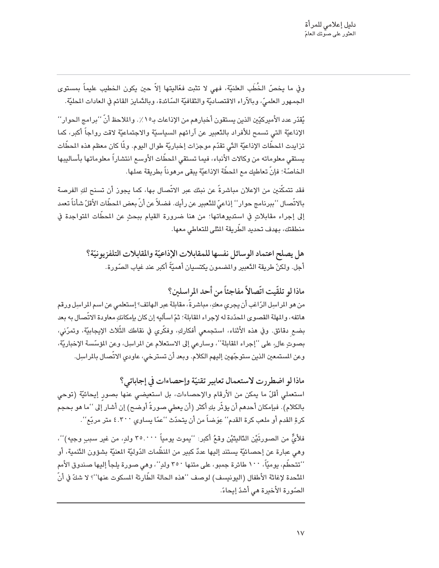وفي ما يخصّ الخُطَب العلنيّة، فهي لا تثبت فعّاليتها إلاّ حين يكون الخطيب عليماً بمستوى الجمهور العلميِّ، وبالآراء الاقتصاديَّة والثقافيَّة السّائدة، وبالنَّمايز القائم في العادات المحليَّة.

يُقدّر عدد الأميركيّين الذين يستقون أخبارهم من الإذاعات بـ١٥٪. والملاحظ أنّ ''برامج الحوار'' الإذاعيّة التي تسمح للأفراد بالتّعبير عن آرائهم السياسيّة والاجتماعيّة لاقت رواجاً أكبر، كما تزايدت المحطَّات الإذاعيّة الدِّي تقدّم موجزات إخباريّة طوال اليوم. ولمّا كان معظم هذه المحطَّات يستقى معلوماته من وكالات الأنباء، فيما تستقى المحطَّات الأوسع انتشاراً معلوماتها بأساليبها الخاصّة؛ فإنّ تعاطيك مع المحطّة الإذاعيّة يبقى مرهوناً بطريقة عملها.

فقد تتمكّنين من الإعلان مباشرةً عن نبئك عبر الاتّصال بها، كما يجوز أن تسنح لكِ الفرصة بالاتِّصال ''ببرنامج حوار'' إذاعيّ للتَّعبير عن رأيك. فضلاً عن أنّ بعض المحطّات الأقلّ شأناً تعمد إلى إجراء مقابلاتٍ في استديوهاتها؛ من هنا ضرورة القيام ببحثٍ عن المحطَّات المتواجدة في منطقتك، بهدف تحديد الطّريقة المثلي للتعاطي معها.

> هل يصلح اعتماد الوسائل نفسها للمقابلات الإذاعيّة والمقابلات التلفزيونيّة؟ أجل. ولكنّ طريقة التَّعبير والمضمون يكتسيان أهميَّةً أكبر عند غياب الصّورة.

ماذا لو تلقّيت اتّصالاً مفاجئاً من أحد المراسلين؟ من هو المراسِل الرّاغب أن يجري معكِ، مباشرةً، مقابلة عبر الهاتف؟ إستعلمي عن اسم المراسِل ورقم هاتفه، والمهلة القصوى المحدّدة له لإجراء المقابلة؛ ثمّ اسأليه إن كان بإمكانكِ معاودة الاتّصال به بعد بضع دقائق. وفي هذه الأثناء، استجمعي أفكاركِ، وفكَّري في نقاطك الثِّلاث الإيجابيَّة، وتمرَّني، بصوتِ عالٍ، على ''إجراء المقابلة''، وسارعي إلى الاستعلام عن المراسِل، وعن المؤسَّسة الإخباريَّة، وعن المستمعين الذين ستوجّهين إليهم الكلام. وبعد أن تسترخى، عاودى الاتّصال بالمراسِل.

ماذا لو اضطررت لاستعمال تعابير تقنيّة وإحصاءات في إجاباتي؟ استعملي أقلّ ما يمكن من الأرقام والإحصاءات، بل استعيضي عنها بصورِ إيحائيّة (توحي بالكلام). فبإمكان أحدهم أن يؤثِّر بكِ أكثر (أن يعطى صورةً أوضح) إن أشار إلى ''ما هو بحجم كرةِ القدم أو ملعب كرة القدم'' عِوَضاً من أن يتحدّث ''عمّا يساوي ٤.٣٠٠ متر مربّع''.

فلأيٍّ من الصورتَيْنِ التّاليتَيْنِ وقعُ أكبر: ''يموت يومياً ٣٥.٠٠٠ ولدٍ، من غير سبب وجيه)''، وهي عبارة عن إحصائيّة يستند إليها عددٌ كبير من المنظّمات الدّوليّة المعنيّة بشؤون التّنمية، أو ''تتحطَّم، يوميّاً، ١٠٠ طائرة جمبو، على متنها ٣٥٠ ولدٍ''، وهي صورة يلجأ إليها صندوق الأمم النَّحدة لإغاثة الأطفال (اليونيسف) لوصف ''هذه الحالة الطّارئة المسكوت عنها''؟ لا شكّ في أنّ الصّورة الأُخيرة هي أشدّ إيحاءً.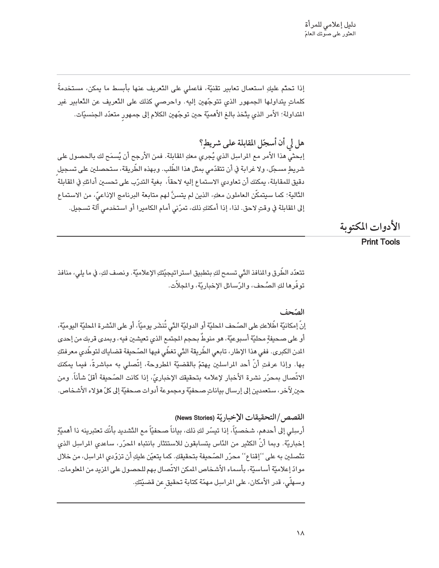إذا تحتُّم عليكِ استعمال تعابير تقنيَّة، فاعملي على التَّعريف عنها بأبسط ما يمكن، مستخدمةً كلماتٍ يتداولها الجمهور الذي تتوجّهين إليه. واحرصى كذلك على التَّعريف عن التَّعابير غير المتداولة؛ الأمر الذي يتَّخذ بالـغ الأهميَّة حين توجِّهين الكلام إلى جمهور متعدّد الجنسيَّات.

هل لي أن أسجّل المقابلة على شريط؟ إبحثيِّ هذا الأمر مع المراسِل الذي يُجرى معكِ المقابلة. فمن الأرجح أن يُسمَح لك بالحصول على شريطٍ مسجّل، ولا غرابة في أن تتقدّمى بمثل هذا الطّلب. وبهذه الطّريقة، ستحصلين على تسجيل دقيق للمقابلة، يمكنك أن تعاودي الاستماع إليه لاحقاً، بغية التدرّب على تحسين أدائكِ في القابلة الدَّالية؛ كما سيتمكَّن العاملون معكِ، الذين لم يتسنَّ لهم متابعة البرنامج الإذاعيِّ، من الاستماعِ إلى المقابلة في وقتٍ لاحق. لذا، إذا أمكنكِ ذلك، تمرّني أمام الكاميرا أو استخدمي آلة تسجيل.

الأدوات المكتوبة

#### **Print Tools**

تتعدّد الطَّرق والمنافذ التّي تسمح لكِ بتطبيق استراتيجيّتكِ الإعلاميّة. ونصف لكِ، في ما يلي، منافذ توفُّرها لكِ الصُّحف، والرِّسائل الإخباريَّة، والمجلاَّت.

#### الصّحف

إنّ إمكانيّة اطّلاعكِ على الصّحف المحليّة أو الدوليّة الدّي تُنشَر يوميّاً، أو على النّشرة المحليّة اليوميّة، أو على صحيفةٍ محليّة أسبوعيّة، هو منوطٌ بحجم المجتمع الذي تعيشين فيه، وبمدى قربك من إحدى الدن الكبرى. ففي هذا الإطار، تابعي الطّريقة التّي تغطّي فيها الصّحيفة قضاياك لتوطّدي معرفتكِ بها. وإذا عرفتِ أنَّ أحد المراسلين يهتمّ بالقضيّة المطروحة، إتَّصلى به مباشرةً، فيما يمكنك الاتِّصال بمحرّر نشرة الأخبار لإعلامه بتحقيقك الإخباريّ، إذا كانت الصّحيفة أقلّ شأناً. ومن حين ِلآخر، ستعمدين إلى إرسال بياناتٍ صحفيّة ومجموعة أدوات صحفيّة إلى كلّ هؤلاء الأشخاص.

#### القصص /التحقيقات الإخباريّة (News Stories)

أرسِلي إلى أحدهم، شخصيّاً، إذا تيسّر لكِ ذلك، بياناً صحفيّاً مع التّشديد بأنّك تعتبرينه ذا أهميّة إخباريّة. وبما أنّ الكثير من النّاس يتسابقون للاستئثار بانتباه المحرّر، ساعدى المراسِل الذي تتَّصلين به على ''إقناع'' محرّر الصّحيفة بتحقيقكِ. كما يتعيّن عليكِ أن تزوّدى المراسِل، من خلال موادّ إعلاميّة أساسيّة، بأسماء الأشخاص المكن الاتّصال بهم للحصول على المزيد من الملومات. وسـهلَّى، قدر الأمكان، على المراسِل مـهمّة كتابة تـحقيق عن قضيّتكِ.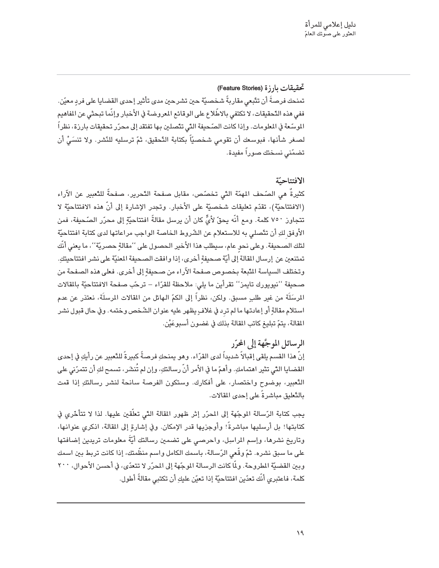#### تحقيقات بارزة (Feature Stories)

تمنحك فرصةً أن تتّبعي مقاربةً شخصيّة حين تشرحين مدى تأثير إحدى القضايا على فردٍ معيّن. ففي هذه التَّحقيقات، لا تكتفي بالاطِّلاع على الوقائع المعروضة في الأخبار وإنَّما تبحثي عن المفاهيم الموسّعة في المعلومات. وإذا كانت الصّحيفة التّى تتّصلين بها تفتقد إلى محرّر تحقيقات بارزة، نظراً لصغر شأنها، فبوسعك أن تقومي شخصيّاً بكتابة التّحقيق، ثمّ ترسليه للنّشر. ولا تنسَىْ أن تضمّنى نسختك صوراً مفيدة.

#### الافتتاحية

كثيرةٌ هي الصّحف المهمّة التّي تخصّص، مقابل صفحة التّحرير، صفحةً للتّعبير عن الآراء (الافتتاحيّة)، تقدّم تعليقات شخصيّة على الأخبار. وتجدر الإشارة إلى أنّ هذه الافتتاحيّة لا تتجاوز ٧٥٠ كلمة. ومع أنَّه يحقِّ لأيٍّ كان أن يرسل مقالةً افتتاحيّةٍ إلى محرّر الصّحيفة، فمن الأوفق لكِ أن تتَّصلى به للاستعلام عن الشَّروط الخاصة الواجب مراعاتها لدى كتابة افتتاحيّة لتلك الصـحيفة. وعلى نحوٍ عام، سيطلب هذا الأخير الـحصـول على ''مقالةٍ حصـريّة''، ما يعني أنَّك تمتنعين عن إرسال المقالة إلى أيّة صحيفةٍ أخرى، إذا وافقت الصحيفة المعنيّة على نشر افتتاحيتكِ. وتختلف السياسة المَّبعة بخصوص صفحة الآراء من صحيفةٍ إلى أخرى. فعلى هذه الصفحة من صحيفة ''نيويورك تايمز'' تقرأين ما يلي: ملاحظة للقرّاء – ترحّب صفحة الافتتاحيّة بالمقالات المرسَلَة من غير طلبٍ مسبق. ولكن، نظراً إلى الكمِّ الهائل من المقالات المرسلَة، نعتذر عن عدم استلام مقالةٍ أو إعادتها ما لم ترد في غلافٍ يظهر عليه عنوان الشَّخص وختمه. وفي حال قبول نشر المقالة، يتمّ تبليغ كاتب المقالة بذلك في غضون أسبوعَيْن.

#### الرسائل الموجَّهة إلى المحرّر

إنّ هذا القسم يلقى إقبالاً شديداً لدى القرّاء. وهو يمنحكِ فرصةً كبيرةً للتّعبير عن رأيكِ في إحدى القضايا التّي تثير اهتمامكِ. وأهمّ ما في الأمر أنّ رسالتكِ، وإن لم تُنشَر، تسمح لكِ أن تتمرّني علي التَّعبِير، بوضوح واختصار، على أفكارك. وستكون الفرصة سانحة لنشر رسالتكِ إذا قمت بالتّعليق مباشرةً على إحدى المقالات.

يجب كتابة الرّسالة الموجّهة إلى المحرّر إثر ظهور المقالة التّي تعلّقين عليها. لذا لا تتأخّري في كتابتها! بل أرسليها مباشرةً! وأوجزيها قدر الإمكان. وفي إشارةٍ إلى المقالة، اذكري عنوانها، وتاريخ نشرها، وإسم المراسِل، واحرصى على تضمين رسالتك أيَّةً معلومات تريدين إضافتها على ما سبق نشره. ثمّ وقّعى الرّسالة، باسمك الكامل واسم منظَّمتك، إذا كانت تربط بين اسمك وبين القضيّة المطروحة. ولمّا كانت الرسالة الموجّهة إلى المحرّر لا تتعدّى، في أحسن الأحوال، ٢٠٠ كلمة، فاعتبري أنَّك تعدّين افتتاحيَّة إذا تعيّن عليكِ أن تكتبي مقالةً أطول.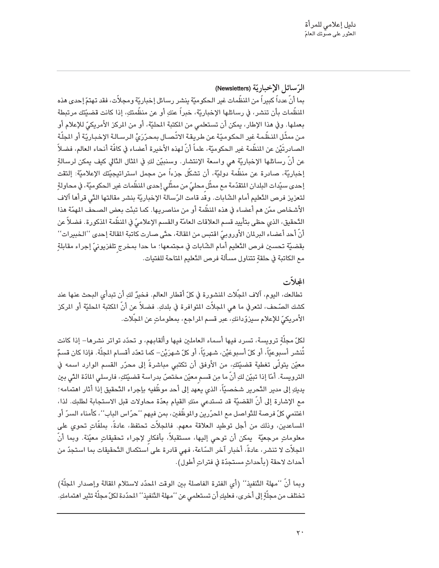الرِّسائل الإخباريّة (Newsletters) بما أنّ عدداً كبيراً من المنظّمات غير الحكوميّة ينشر رسائل إخباريّة ومجلاّت، فقد تهتمّ إحدى هذه المنظَّمات بأن تنشر، في رسائلها الإخباريّة، خبراً عنكِ أو عن منظَّمتكِ، إذا كانت قضيّتك مرتبطة بعملها. وفي هذا الإطار، يمكن أن تستعلمي من المكتبة المحليّة، أو من المركز الأمريكيّ للإعلام أو من ممثّل النظّمة غير الحكوميّة عن طريقة الاتّصـال بمحرّرَىُ الرسـالـة الإخبـاريّة أو المجلّة الصادرتَيْن عن المنظَّمة غير الحكوميَّة، علماً أنّ لهذه الأخيرة أعضاء في كافَّة أنحاء العالم، فضلاً عن أنّ رسائلها الإخباريّة هي واسعة الإنتشار. وسنبيّن لكِ في المثال التّالي كيف يمكن لرسالةِ إخباريّة، صادرة عن منظّمة دوليّة، أن تشكّل جزءاً من مجمل استراتيجيّتك الإعلاميّة: إلتقت إحدى سيّدات البلدان المتقدّمة مع ممثّل محليّ من ممثّلي إحدى المنظّمات غير الحكوميّة، في محاولةِ لتعزيز فرص التّعليم أمام الشّابات. وقّد قامت الرّسالة الإخباريّة بنشر مقالتها التّى قرأها آلاف الأشخاص ممّن هم أعضاء في هذه المنظَّمة أو من مناصريها. كما تبنّت بعض الصحف المهمّة هذا التَّحقيق، الذي حظى بتأييد قسم العلاقات العامّة والقسم الإعلاميّ في المنظَّمة المذكورة. فضلاً عن أنّ أحد أعضاء البرلمان الأوروبيّ اقتبس من المقالة، حتّى صارت كاتبة المقالة إحدى ''الخبيرات'' بقضيّة تحسين فرص التّعليم أمام الشّابات في مجتمعها؛ ما حدا بمخرج تلفزيونيّ إجراء مقابلةٍ مع الكاتبة في حلقةٍ تتناول مسألة فرص التّعليم المتاحة للفتيات.

#### المحلات

تطالعك، اليوم، آلاف المجِّلات المنشورة في كلِّ أقطار العالم. فخيرٌ لكِ أن تبدأي البحث عنها عند كشك الصّحف، لتعرفي ما هي المجلاّت المتوافرة في بلدكِ. فضلاً عن أنّ المكتبة المحليّة أو المركز الأمريكيِّ للإعلام سيزوّدانكِ، عبر قسم المراجع، بمعلوماتٍ عن المجّلات.

لكلّ مجلَّة ترويسة، تسرد فيها أسماء العاملين فيها وألقابهم، و تحدّد تواتر نشرها– إذا كانت تُنشر أسبوعيّاً، أو كلّ أسبوعَيْن، شهريّاً، أو كلّ شهرَيْن– كما تعدّد أقسام المجلّة. فإذا كان قسمٌ معيّن يتولّى تغطية قضيّتكِ، من الأوفق أن تكتبي مباشرةً إلى محرّر القسم الوارد اسمه في الترويسة. أمّا إذا تبيّن لكِ أنّ ما مِن قسم معيّن مختصّ بدراسة قضيّتكِ، فارسلي المادّة التّي بين يديكِ إلى مدير النَّحرير شخصيّاً، الذي يعهد إلى أحد موظّفيه بإجراء التَّحقيق إذا أثار اهتمامه؛ مع الإشارة إلى أنّ القضيّة قد تستدعى منكِ القيام بعدّة محاولات قبل الاستجابة لطلبك. لذا، اغتنمي كلّ فرصة للدَّواصل مع المحرّرين والموظّفين، بمن فيهم ''حرّاس الباب''، كأمناء السرّ أو المساعدين، وذلك من أجل توطيد العلاقة معهم. فالمجلاّت تحتفظ، عادةً، بملفّاتٍ تحوى على معلوماتٍ مرجعيّة ۖ يمكن أن توحى إليها، مستقبلاً، بأفكار لإجراء تحقيقاتٍ معيّنة. وبما أنّ المجلاَّت لا تنشر، عادةً، أخبار آخر السّاعة، فهي قادرة على استكمال التَّحقيقات بما استجدّ من أحداث لاحقة (بأحداثٍ مستجدّة في فتراتٍ أطول).

وبما أنْ ''مهلة التَّنفيذ'' (أي الفترة الفاصلة بين الوقت المحدّد لاستلام المقالة وإصدار المجلَّة) تختلف من مجلّةٍ إلى أخرى، فعليكِ أن تستعلمي عن ''مهلة التّنفيذ'' المحدّدة لكلّ مجلّة تثير اهتمامكِ.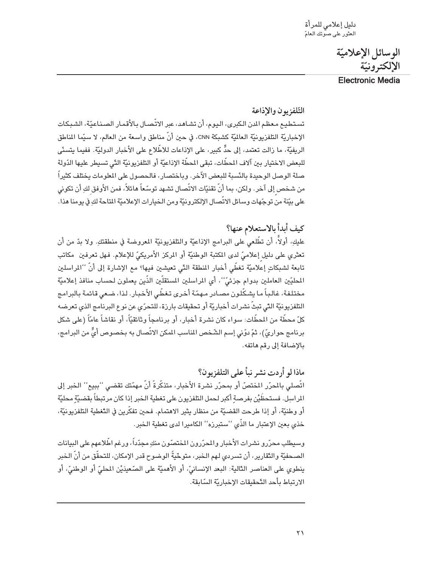دليل إعلامي للمرأة<br>العثور على صوتك العامّ

الوسائل الإعلاميّة الإلكترونيّة

**Electronic Media** 

#### التّلفزيون والإذاعة

تستطيع معظم الدن الكبرى، اليوم، أن تشاهد، عبر الاتّصال بالأقمار الصناعيّة، الشبكات الإخباريّة التلفزيونيّة العالميّة كشبكة CNN، في حين أنّ مناطق واسعة من العالم، لا سيّما المناطق الريفيَّة، ما زالت تعتمد، إلى حدٍّ كبير، على الإذاعات للاطِّلاع على الأخبار الدوليَّة. ففيما يتسنَّى للبعض الاختيار بين آلاف المطَّات، تبقى المطَّة الإذاعيّة أو التلفزيونيّة التّي تسيطر عليها الدّولة صلة الوصل الوحيدة بالنّسبة للبعض الآخر. وباختصار، فالحصول على المعلومات يختلف كثيراً من شخص إلى آخر. ولكن، بما أنّ تقنيّات الاتّصال تشهد توسّعاً هائلاً، فمن الأوفق لكِ أن تكوني على بيّنة من توجّهات وسائل الاتّصال الإلكترونيّة ومن الخيارات الإعلاميّة المتاحة لكِ في يومنا هذا.

#### كيف أبدأ بالاستعلام عنها؟

عليكِ، أولاً، أن تطَّلعي على البرامج الإذاعيّة والتلفزيونيّة المعروضة في منطقتكِ. ولا بدّ من أن .<br>تعثري على دليل إعلاميِّ لدى المكتبة الوطنيّة أو المركز الأمريكيّ للإعلام. فهل تعرفين مكاتب تابعة لشبكاتٍ إعلاميّة تغطّي أخبار المنطقة التّي تعيشين فيها؟ مع الإشارة إلى أنّ ''المراسلين المحليّين العاملين بدوام جزئيّ"، أي المراسلين المستقلّين الذّين يعملون لحساب منافذ إعلاميّة مختلفة، غالباً ما يشكّلون مصادر مهمّة أخرى تغطّى الأخبار. لذا، ضعى قائمة بالبرامج التلفزيونيّة التّي تبثّ نشرات أخباريّة أو تحقيقات بارزة، للتحرّي عن نوع البرنامج الذي تعرضه كلّ محطّة من المحطّات: سواء كان نشرة أخبار، أو برنامجاً وثائقيّاً، أو نقاشاً عامّاً (على شكل برنامج حواريٍّ)، ثمّ دوّني إسم الشّخص المناسب المكن الاتّصال به بخصوص أيٍّّ من البرامج، بالإضافة إلى رقم هاتفه.

ماذا لو أردت نشر نبأ على التلفزيون؟ اتِّصلي بالمرّر المختصّ أو بمحرّر نشرة الأخبار، متذكّرةً أنّ مهمّتك تقضي ''ببيع'' الخبر إلى الراسِل. فستحظَيْن بفرصةِ أكبر لحمل التلفزيون على تغطية الخبر إذا كان مرتبطاً بقضيّةٍ محليّة أو وطنيّة، أو إذا طرحت القضيّة من منظار يثير الاهتمام. فحين تفكّرين في التّغطية التلفزيونيّة، خذي بعين الإعتبار ما الذّي ''ستبرزه'' الكاميرا لدى تغطية الخبر.

وسبطلب محرّرو نشرات الأخبار والمحرّرون المختصّون منكِ مجدّداً، ورغم اطِّلاعهم على البيانات الصـحفيّة والنّقارير، أن تسردي لهم الـخبر، متوحّيةً الوضوح قدر الإمكان، للتحقّق من أنّ الـخبر ينطوي على العناصر الدَّالية: البعد الإنسانيِّ، أو الأهميَّة على الصّعيدَيْنِ المحليِّ أو الوطنيِّ، أو الارتباط بأحد التّحقيقات الإخباريّة السّابقة.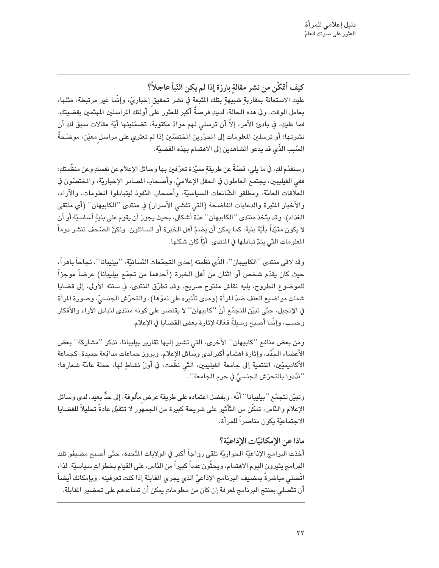كيف أُعْكَّن من نشر مقالة بارزة إذا لم يكن النّبأ عاجلاً؟ عليك الاستعانة بمقاربةٍ شبيهةٍ بتلك المَّبعة في نشر تحقيق إخباريّ، وإنّما غير مرتبطة، مثلها، بعامل الوقت. وفي هذه الحالة، لديكِ فرصةٌ أكبر للعثور على أولئك المراسلين المهتَّمين بقضيتكِ. فما عليكِ، في بادئ الأمر، إلاّ أن ترسلي لهم موادّ مكتوبة، تضمّنينها أيّة مقالات سبق لكِ أن نشرتها؛ أو ترسلين المعلومات إلى المحرّرين المختصّين إذا لم تعثّري على مراسلٍ معيّن، موضّحةً السّبب الذّي قد يدعو المشاهدين إلى الاهتمام بهذه القضيّة.

وسنقدّم لكِ، في ما يلي، قصّةً عن طريقةٍ مميّزة تعرّفين بها وسائل الإعلام عن نفسكِ وعن منظَّمتكِ: ففي الفيليبين، يجتمع العاملون في الحقل الإعلاميّ، وأصحاب المصادر الإخباريّة، والمختصّون في العلاقات العامَّة، ومطلقو الشَّائعات السياسيَّة، وأصحاب النَّفوذ ليتبادلوا المعلومات، والآراء، والأخبار المثيرة والدعابات الفاضحة (التي تفشي الأسرار) في منتدى ''الكابيهان'' (أي ملتقى الغذاء). وقد يتَّخذ منتدى ''الكابيهان'' عدّة أشكال، بحيث يجوز أن يقوم على بنية أساسيّة أو أن لا يكون مقيّداً بأيّة بنية، كما يمكن أن يضمّ أهل الخبرة أو السائلون. ولكنّ الصّحف تنشر دوماً المعلومات التّي يتمّ تبادلها في المنتدى، أيّاً كان شكلها.

وقد لاقي منتدى ''الكابيهان''، الذِّي نظَّمته إحدى التجمّعات النِّسائيّة، ''بيليبانا''، نجاحاً باهراً، حيث كان يقدّم شخص أو اثنان من أهل الخبرة (أحدهما من تجمّع بيليبانا) عرضاً موجزاً للموضوع المطروح، بليه نقاش مفتوح صريح. وقد تطرّق المنتدى، في سنته الأولى، إلى قضايا شملت مواضيع العنف ضدّ المرأة (ومدى تأثيره على نموّها)، والتحرّش الجنسيّ، وصورة المرأة في الإنجيل، حتَّى تبيِّن للتجمِّع أنَّ ''كابيهان'' لا يقتصر على كونه منتدى لتبادل الآراء والأفكار وحسب، وإنَّما أصبح وسبلةً فعَّالة ﻹثارة بعض القضايا في اﻹعلام.

ومن بعض منافع ''كابيهان'' الأخرى، التي تشير إليها تقارير بيليبانا، نذكر ''مشاركة'' بعض الأعضاء الجِّدُد، وإثارة اهتمام أكبر لدى وسائل الإعلام، وبروز جماعات مدافِعة جديدة، كجماعة الأكاديميّين، المنتمية إلى جامعة الفيليبين، التّي نظّمت، في أولّ نشاطٍ لها، حملة عامّة شعارها: ''ندِّدوا بالتحرِّش الجنسيِّ في حرم الجامعة''.

وتبيّن لتجمّع ''بيليبانا'' أنّه، وبفضل اعتماده على طريقة عرض مألوفة، إلى حدٍّ بعيد، لدى وسائل الإعلام والنَّاس، تمكَّن من التَّأثير على شريحة كبيرة من الجمهور لا تتقبِّل عادةً تحليلاً للقضايا الاجتماعيّة يكون مناصراً للمرأة.

#### ماذا عن الإمكانيّات الإذاعيّة؟

أخذت البرامج الإذاعيّة الحواريّة تلقى رواجاً أكبر في الولايات المَّحدة، حتّى أصبح مضيفو تلك البرامج يثيرون اليوم الاهتمام، ويحثَّون عدداً كبيراً من الدَّاس، على القيام بخطواتِ سياسيَّة. لذا، اتَّصلي مباشرةً بمضيف البرنامج الإذاعيّ الذي يجري المقابلة إذا كنت تعرفينه. وبإمكانك أيضاً أن تتَّصلى بمنتج البرنامج لمرفة إن كان من معلوماتٍ يمكن أن تساعدهم على تحضير المقابلة.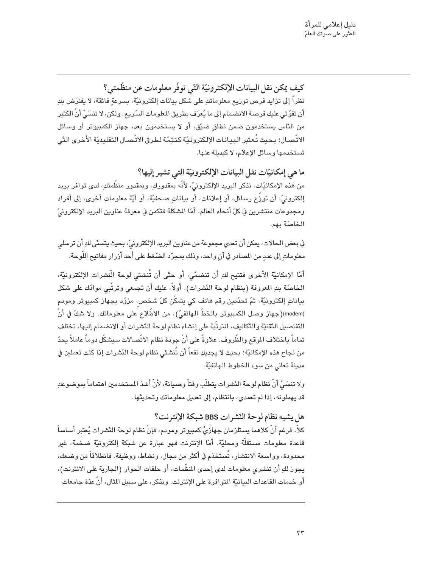كيف يمكن نقل البيانات الإلكترونيّة التّي توفّر معلومات عن منظّمتي؟ نظراً إلى تزايد فرص توزيع معلوماتكِ على شكل بيانات إلكترونيّة، بسرعةٍ فائقة، لا يفترَض بكِ أن تفوّتي عليك فرصة الانضمام إلى ما يُعرَف بطريق المعلومات السّريع. ولكن، لا تنسَىُّ أنّ الكثير من النّاس يستخدمون ضمن نطاق ضيّق، أو لا يستخدمون بعد، جهاز الكمبيوتر أو وسائل الاتّصال؛ بحيث تُعتبر البيانات الإلكترونيّة كتتِمّة لطرق الاتّصال التقليديّة الأخرى التّى تستخدمها وسائل الإعلام، لا كبديلة عنها.

ما هي إمكانيّات نقل البيانات الإلكترونيّة التي تشير إليها؟ من هذه الإمكانيّات، نذكر البريد الإلكترونيّ، لأنّه بمقدوركِ، وبمقدور منظّمتكِ، لدى توافر بريد إلكترونيِّ، أن توزُّع رسائل، أو إعلانات، أو بياناتٍ صحفيَّة، أو أيَّة معلومات أخرى، إلى أفراد ومجموعات منتشرين في كلِّ أنحاء العالم. أمَّا المشكلة فتكمن في معرفة عناوين البريد الإلكترونيِّ الخاصّة بهم.

في بعض الحالات، يمكن أن تعدي مجموعة من عناوين البريد الإلكترونيّ، بحيث يتسنّى لكِ أن ترسلي معلوماتٍ إلى عددٍ من المصادر في آنٍ واحد، وذلك بمجرّد الضّغط على أحد أزرار مفاتيح اللّوحة.

أمّا الإمكانيّة الأخرى فتتيح لكِ أن تنضمّى، أو حتّى أن تُنشئى لوحة الّنشرات الإلكترونيّة، الخاصّة بكِ المعروفة (بنظام لوحة النّشرات). أولاً، عليك أن تجمعي وترتّبي موادّك على شكل بياناتٍ إلكترونيَّة، ثمّ تحدّدين رقم هاتف كي يتمكّن كلّ شخص، مزوّد بجهاز كمبيوتر ومودم (modem)(جهاز وصل الكمبيوتر بالخطّ الهاتفيّ)، من الاطّلاع على معلوماتك. ولا شكّ في أنّ التّفاصيل التّقنيّة والتّكاليف، المترتّبة على إنشاء نظام لوحة النّشرات أو الانضمام إليها، تختلف تماماً باختلاف الموقع والظّروف. علاوةً على أنّ جودة نظام الاتّصالات سيشكّل دوماً عاملاً يحدّ من نجاح هذه الإمكانيّة؛ بحيث لا يجديكِ نفعاً أن تُنشئي نظام لوحة النّشرات إذا كنت تعملين في مدينة تعانى من سوء الخطوط الهاتفيّة.

ولا تنسَىُّ أنّ نظام لوحة النّشرات يتطلّب وقتاً وصبانة، لأنّ أشدّ المستخدمين اهتماماً بموضوعكِ قد يهملونه، إذا لم تعمدي، بانتظام، إلى تعديل معلوماتك وتحديثها.

هل يشبه نظام لوحة النّشرات BBS شبكة الإنترنت؟

كلاً. فرغم أنّ كلاهما يستلزمان جهازَىْ كمبيوتر ومودم، فإنّ نظام لوحة النّشرات يُعتبر أساساً قاعدة معلومات مستقلَّة ومحليَّة. أمّا الإنترنت فهو عبارة عن شبكة إلكترونيَّة ضخمة، غير محدودة، وواسعة الانتشار، تُستخدَم في أكثر من مجال، ونشاط، ووظيفة. فانطلاقاً من وضعك، يجوز لكِ أن تنشري معلومات لدي إحدى المنظَّمات، أو حلقات الحوار (الجارية على الانترنت)، أو خدمات القاعدات البيانيّة المتوافرة على الإنترنت. ونذكر، على سبيل المثال، أنّ عدّة جامعات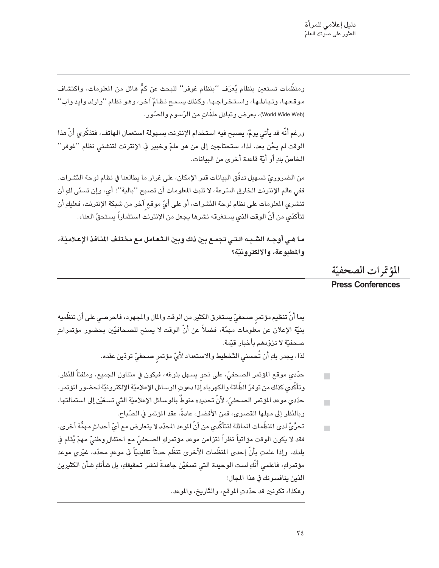ومنظَّمات تستعين بنظام يُعرَف ''بنظام غوفر'' للبحث عن كمٍّ هائل من المعلومات، واكتشاف موقعها، وتبادلها، واستخراجها. وكذلك يسمح نظامٌ آخر، وهو نظام ''وارلد وايد واب'' (World Wide Web)، بعرض وتبادل ملفّاتٍ من الرّسوم والصّور.

ورغم أنَّه قد يأتي يومٌ، يصبح فيه استخدام الإنترنت بسهولة استعمال الهاتف، فتذكَّري أنَّ هذا الوقت لم يحُن بعد. لذا، ستحتاجين إلى من هو ملمّ وخبير في الإنترنت لتنشئي نظام ''غوفر'' الخاصِّ بك أو أيّة قاعدة أخرى من البيانات.

من الضروريِّ تسهيل تدفَّق البيانات قدر الإمكان، على غرار ما يطالعنا في نظام لوحة النِّشرات. ففي عالم الإنترنت الخارق السّرعة، لا تلبث الملومات أن تصبح ''بالية''؛ أي، وإن تسنّي لكِ أن تنشري المعلومات على نظام لوحة النّشرات، أو على أيّ موقع آخر من شبكة الإنترنت، فعليكِ أن تتأكدّى من أنّ الوقت الذى يستغرقه نشرها يجعل من الإنترنت استثماراً يستحقّ العناء.

مـا هـى أوجـه الشّـبـه الـتـى تجمـع بين ذلك وبين الـتـعـامل مـع مختلـف المنـافذ الإعـلاميّـة، والمطبوعة، والالكترونيّة؟

المؤتمرات الصحفيّة

#### **Press Conferences**

بما أنّ تنظيم مؤتمر صحفيّ يستغرق الكثير من الوقت والمال والمجهود، فاحرصـي على أن تنظَّميه بنيّة الإعلان عن معلومات مهمّة، فضلاً عن أنّ الوقت لا يسنح للصحافيّين بحضور مؤتمراتٍ صحفيّة لا تزوّدهم بأخبار قيّمة. لذا، يجدر بكِ أن تُحسنى التّخطيط والاستعداد لأَىّ مؤتمر صحفىّ تودّين عقده.

- حدّدي موقع المؤتمر الصحفيّ، على نحو يسهل بلوغه، فيكون في متناول الجميع، وملفتاً للنّظر.  $\mathbf{r}$ وتأكَّدى كذلك من توفرّ الطَّاقة والكهرباء إذا دعوتِ الوسائل الإعلاميّة الإلكترونيّة لحضور المؤتمر.
- حدّدى موعد المؤتمر الصحفيّ، لأنّ تحديده منوطٌ بالوسائل الإعلاميّة التّي تسعَيْن إلى استمالتها.  $\blacksquare$ وبالنّظر إلى مهلها القصوى، فمن الأفضل، عادةً، عقد المؤتمر في الصّباح.
- تحرَّىْ لدى المنظَّمات المائلة لتتأكَّدى من أنّ الموعد المحدّد لا يتعارض مع أيّ أحداثٍ مهمِّة أخرى.  $\blacksquare$ فقد لا يكون الوقت مؤاتياً نظراً لتزامن موعد مؤتمركِ الصـحفيّ مـع احتفال ِوطنيّ مـهمّ يُقام في بلدك. وإذا علمتِ بأنَّ إحدى المنظَّمات الأخرى تنظَّم حدثاً تقليديّاً في موعدِ محدّد، غيّرى موعد مؤتمركِ، فاعلمي أنَّكِ لست الوحيدة التي تسعَيْن جاهدةً لنشر تحقيقكِ، بل شأنكِ شأن الكثيرين الذين ينافسونك في هذا المجال! وهكذا، تكونين قد حدّدتِ الموقع، والتّاريخ، والموعد.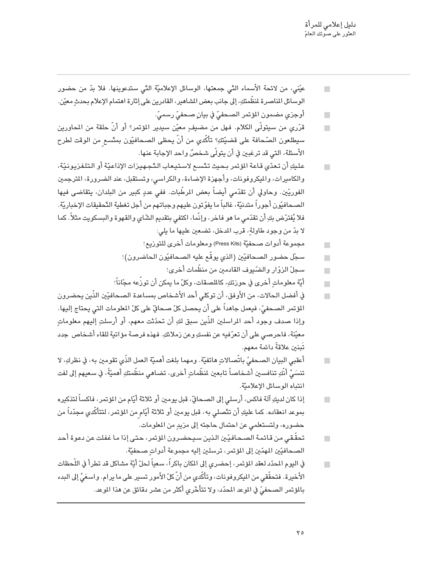| عيّني، من لائحة الأسماء الدِّي جمعتها، الوسائل الإعلاميّة الدِّي ستدعوينها. فلا بدّ من حضور        | $\mathcal{L}_{\mathcal{A}}$ |
|----------------------------------------------------------------------------------------------------|-----------------------------|
| الوسائل الماصرة لمنظَّمتكِ، إلى جانب بعض المشاهير، القادرين على إثارة اهتمام الإعلام بحدثٍ معيّن.  |                             |
| أوجزي مضمون المؤتمر الصحفيّ في بيانٍ صحفيّ رسميّ.                                                  | $\mathcal{L}_{\mathcal{A}}$ |
| قرّري من سيتولَّى الكلام. فهل من مضيفٍ معيّن سيدير المؤتمر؟ أو أنّ حلقة من المحاورين               |                             |
| سيطلعون الصّحافة على قضيّتكِ؟ تأكّدي من أنّ يحظى الصحافيّون بمتّسعٍ من الوقت لطرح                  |                             |
| الأسئلة، التي قد ترغبين في أن يتولَّى شـْحْصٌ واحد الإجابة عنها.                                   |                             |
| عليكِ أن تعدّي قاعة المؤتمر بحيث تتّسع لاستيعاب التّجهيزات الإذاعيّة أو التلفزيونيّة،              |                             |
| والكاميرات، والميكروفونات، وأجهزة الإضاءة، والكراسي، وتستقبل، عند الضرورة، المترجمين               |                             |
| الفوريّين. وحاولي أن تقدّمي أيضاً بعض المرطّبات. ففي عددٍ كبير من البلدان، يتقاضى فيها             |                             |
| الصـحافيّون أجوراً متدنيّة، غالباً ما يفوّتون عليهم وجباتهم من أجل تغطية التّحقيقات الإخباريّة.    |                             |
| فلا يُفترّض بكِ أن تقدّمي ما هو فاخر ، وإنّما ، اكتفي بتقديم الشّاي والقهوة والبسكويت مثلاً . كما  |                             |
| لا بدّ من وجود طاولةٍ، قرب المدخل، تضـعين عليها ما يلي:                                            |                             |
| مجموعة أدوات صحفيّة (Press Kits) ومعلومات أخرى للتوريع؛                                            | $\mathcal{L}_{\mathcal{A}}$ |
| سجّل حضور الصـحافيّين (الذي يوقّع عليه الصـحافيّون الـحاضرون)؛                                     |                             |
| سجلّ الزوّار والضّيوف القادمين من منظّمات أخرى؛                                                    | $\mathbb{R}^3$              |
| أيّة معلوماتٍ أخرى في حوزتكِ، كالملصقات، وكلّ ما يمكن أن توزعه مجّاناً؛                            | $\mathbb{R}^3$              |
| في أفضل الحالات، من الأوفق، أن توكلي أحد الأشخاص بمساعدة الصحافيّين الذّين يحضرون                  | $\mathbb{R}^3$              |
| المؤتمر الصـحفيِّ، فيعمل جاهداً على أن يحصل كلّ صـحافيّ على كلّ المعلومات التي يحتاج إليها.        |                             |
| وإذا صدف وجود أحد المراسلين الذّين سبق لكِ أن تحدّثت معهم، أو أرسلتِ إليهم معلوماتٍ                |                             |
| معيّنة، فاحرصي على أن تعرّفيه عن نفسكِ وعن زملائكِ. فهذه فرصة مؤاتية للقاء أشخاص  جدد              |                             |
| تَبنين علاقةَ دائمة معهم.                                                                          |                             |
| أعقبي البيان الصـحفيّ باتّصـالاتٍ هاتفيّة. ومهما بلغت أهميّة العمل الذّي تقومين به، في نظركِ، لا   |                             |
| تنسَيُّ أنَّكِ تنافسين أشخاصاً تابعين لمنظَّماتٍ أخرى، تضاهي منظَّمتكِ أهميَّةً، في سعيهم إلى لفت  |                             |
| انتباه الوسائل الإعلاميّة.                                                                         |                             |
| إذا كان لديكِ آلة فاكس، أرسلي إلى الصحافيِّ، قبل يومين أو ثلاثة أيّام من المؤتمر، فاكساً لتذكيره   |                             |
| بموعد انعقاده. كما عليكِ أن تتَّصلي به، قبل يومين أو ثلاثة أيّامٍ من المؤتمر، لتتأكَّدي مجدّداً من |                             |
| حضوره، ولتستعلمي عن احتمال حاجته إلى مزيدٍ من المعلومات.                                           |                             |
| تحقُّقي من قائمة الصـحـافـيّين الـذيـن سـيـحضـرون المؤتمر، حتى إذا مـا غـفلت عن دعوة أحد           |                             |
| الصـحافيّين المهمّين إلى المؤتمر، ترسلين إليه مجموعة أدواتٍ صـحفيّة.                               |                             |

في اليوم المحدّد لعقد المؤتمر، إحضري إلى المكان باكراً، سعياً لحلّ أيّة مشاكل قد تطرأ في اللّحظات  $\mathcal{L}_{\mathcal{A}}$ .<br>الأخيرة . فتحقّقي من المكروفونات، وتأكّدي من أنّ كلّ الأمور تسبر على ما يرام. واسعَيْ إلى البدء بالمؤتمر الصحفيِّ في الموعد المحدّد، ولا تتأخّري أكثر من عشر دقائق عن هذا الموعد.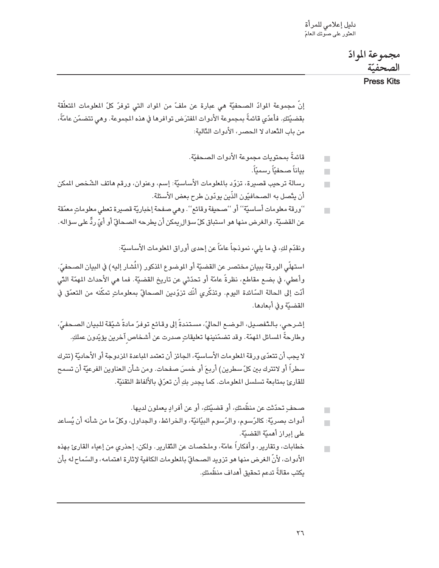دليل إعلامي للمرأة<br>العثور على صوتك العامّ

مجموعة الموادّ الصحفتة

**Press Kits** 

إنَّ مجموعة الموادّ الصحفيَّة هي عبارة عن ملفّ من المواد التي توفرٌ كلّ المعلومات المتعلِّقة بقضيّتكِ. فأعدّى قائمةً بمجموعة الأدوات المفترَض توافرها في هذه الجموعة. وهي تتضمّن عامّةً، من باب النِّعداد لا الحصر، الأدوات النَّالية:

- قائمةً بمحتويات محموعة الأدوات الصحفيّة. п
	- ىياناً صحفناً رسمناً.  $\blacksquare$
- رسالة ترحيب قصيرة، تزوّد بالملومات الأساسيّة: إسم، وعنوان، ورقم هاتف الشّخص المكن  $\blacksquare$ أن يتّصل به الصـحافيّون الذّين يودّون طرح بعض الأسئلة.
- ''ورقة معلومات أساسيّة'' أو ''صحيفة وقائع''. وهي صفحة إخباريّة قصيرة تعطي معلوماتٍ معمّقة  $\blacksquare$ عن القضيّة. والغرض منها هو استباق كلّ سؤال بمكن أن بطرحه الصحافيّ أو أيّ ردٍّ على سؤاله.

ونقدّم لكِ، في ما يلي، نموذجاً عامّاً عن إحدى أوراق المعلومات الأساسيّة:

استهلَّى الورقة ببيانٍ مختصر عن القضيَّة أو الموضوع المذكور (المُشار إليه) في البيان الصـحفيِّ. وأعطى، في بضـع مقاطـع، نظرةً عامّة أو تحدّثي عن تاريخ القضيّة. فما هي الأحداث المهمّة الدَّى أدّت إلى الحالة السّائدة اليوم. وتذكّري أنّك تزوّدين الصحافيّ بمعلوماتٍ تمكّنه من التعمّق في القضبّة وفي أبعادها.

إشرحي، بالتَّفصـيل، الـوضـع الـحاليِّ، مسـتندةً إلى وقـائـع توفرّ مـادةً شـيّقة للببيان الصـحفيّ، وطارحةً المسائل المهمّة. وقد تضمّنينها تعليقاتٍ صدرت عن أشـخاص آخرين يؤيّدون عملكِ.

لا يجب أن تتعدّى ورقة المعلومات الأساسيّة، الجائز أن تعتمد المباعدة المزدوجة أو الأحاديّة (تترك سطراً أو لاتترك بين كلّ سطرين) أربعَ أو خمسَ صفحات. ومن شأن العناوين الفرعيّة أن تسمح للقارئ بمتابعة تسلسل المعلومات. كما يجدر بكِ أن تعرّف بالألفاظ التقنيّة.

- صحف تحدّثت عن منظّمتكِ، أو قضيّتكِ، أو عن أفرادٍ يعملون لديها.  $\blacksquare$
- أدوات بصريّة: كالرّسوم، والرّسوم البيّانيّة، والـخرائط، والـجداول، وكلّ ما من شأنه أن يُساعد على إيراز أهميّة القضيّة.
- خطابات، وتقارير، وأفكاراً عامّة، وملخّصات عن التّقارير. ولكن، إحذري من إعياء القارئ بهذه  $\blacksquare$ الأدوات، لأنَّ الغرض منها هو تزويد الصحاقّ بالمعلومات الكافية لإثارة اهتمامه، والسّماح له بأن ىكتب مقالةً تدعم تحقيق أهداف منظَّمتك.

 $\blacksquare$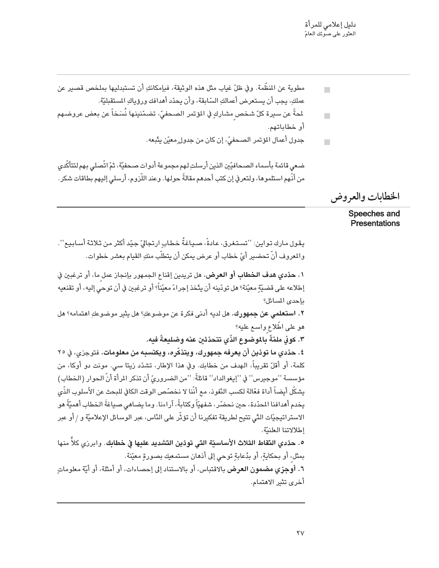$\blacksquare$ 

 $\overline{\phantom{a}}$ 

- مطوية عن المنظَّمة. وفي ظلِّ غياب مثل هذه الوثيقة، فبإمكانكِ أن تستبدليها بملخص قصير عن عملكِ، يجب أن يستعرض أعمالكِ السّابقة، وأن يحدّد أهدافك ورؤياكِ المستقبليّة.
- ﻠﺤﺔً ﻋﻦ ﺳﻴﺮﺓ ﻛﻞّ ﺷﺨﺺ ﻣﺸﺎﺭﻙٍ ﻓﻲ ﺍﻟﯘﺗﻤﺮ ﺍﻟﺼﺤﻔﻲّ، ﺗﻀﻤّﻨﻴﻨﻬﺎ ﻧُﺴَﺨﺎً ﻋﻦ ﺑﻌﻀ ﻋﺮﻭﺿـﻬﻢ  $\blacksquare$ أو خطاباتهم.
	- جدول أعمال المؤتمر الصحفيِّ، إن كان من جدول ٍ معيّن يتَّبعه .

ضعي قائمة بأسماء الصحافيّين الذين أرسلتِ لهم مجموعة أدوات صحفيّة، ثمّ اتّصلى بهم لتتأكَّدي من أنَّهم استلموها، ولتعرفي إن كتب أحدهم مقالةً حولها. وعند اللَّزوم، أرسلي إليهم بطاقات شكر.

الخطابات والعروض

Speeches and **Presentations** 

يقول مارك تواين: ''تستغرق، عادةً، صياغةُ خطابِ ارتجاليّ جيّد أكثر من ثلاثة أسابيع''. والمعروف أنَّ تحضير أيِّ خطاب أو عرض يمكن أن يتطلَّب منكِ القيام بعشر خطوات.

<mark>\ . حدّدي هدف الخطاب أو العرض.</mark> هل تريدين إقناع الجمهور بإنجاز عمل ما، أو ترغبين في إطلاعه على قضيّةٍ معيّنة؟ هل تودّينه أن يتّخذ إجراءً معيّناً؟ أو ترغبين في أن توحي إليه، أو تقنعيه باحدى المسائل؟

**٢. استعلمي عن جمهورك.** هل لديه أدنى فكرة عن موضوعكِ؟ هل يثير موضوعكِ اهتمامه؟ هل هو على اطِّلاع واسع عليه؟

٣. كوني ملمّةً بالموضوع الذّي تتحدّثن عنه وضليعةً فده.

٤. حدّدي ما تودّين أن يعرفه جمهورك، ويتذكّره، ويكتسبه من معلومات. فتوجزي، في ٢٥ كلمة، أو أقلّ تقريباً، الهدف من خطابك. وفي هذا الإطار، تشدّد زيتا سي. مونت دو أوكا، من مؤسسة ''موجيرس'' في ''إيغوالداد'' قائلةً: ''من الضروريّ أن تذكر المرأة أنّ الحوار (الخطاب) يشكِّل أيضاً أداة فعّالة لكسب النّفوذ، مع أنّنا لا نخصّص الوقت الكافي للبحث عن الأسلوب الذّي يخدم أهدافنا المحدّدة، حين نحضّر، شفهيّاً وكتابةً، آراءنا. وما يضاهي صياغةَ الخطاب أهميّةً هو الاستراتيجيّات التّي تتيح لطريقة تفكيرنا أن تؤثّر على النّاس، عبر الوسائل الإعلاميّة و / أو عبر إطلالاتنا العلنيّة.

٥. حدّدي النقاط الثلاث الأساسيّة التي تودّين التشديد عليها في خطابك. وابرزي كلاّ منها بمثل، أو بحكايةٍ، أو بدُعابةٍ توحي إلى أذهان مستمعيك بصورةٍ معيّنة.

٦. أ**وجزي مضمون العرض** بالاقتباس، أو بالاستناد إلى إحصاءات، أو أمثلة، أو أيّة معلوماتٍ أخرى تثير الاهتمام.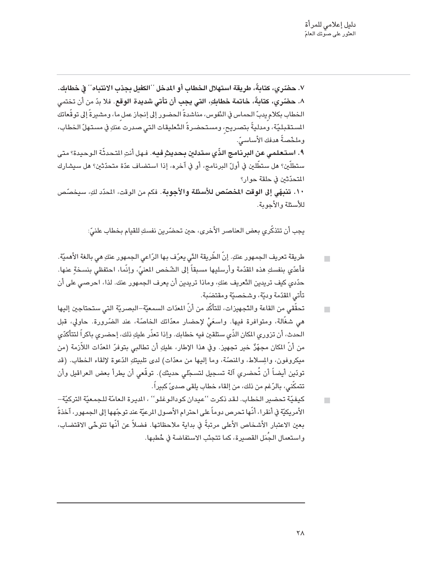٧. حضّري، كتابةً، طريقة استهلال الخطاب أو المدخل ''الكفيل بجذب الانتباه'' في خطابك. ٨. حضّري، كتابةً، خاتمة خطابكِ، التي يجب أن تأتي شديدة الوقع. فلا بدّ من أن تختمي الخطاب بكلام يدبّ الـحماس في النّفوس، مناشدةً الـحضور إلى إنجاز عمل ما، ومشـيرةً إلى توقّعاتك السـتقبليّة، ومدليةً بتصريح، ومستحضرةً التّعليقات التي صدرت عنكِ في مستهلّ الخطاب، وملخّصةً هدفك الأُساسيّ. ٩. استعلمي عن البرنامج الذّي ستدلين بحديثٍ فيه. فهل أنتِ التحدثّة الوحيدة؟ متى ستطلّين؟ هل ستطّلين في أولّ البرنامج، أو في آخره، إذا استضاف عدّة متحدّثين؟ هل سيشارك المتحدِّثين في حلقة حوار؟ ١٠. تنبهًى إلى الوقت المخصّص للأسئلة والأجوبة. فكم من الوقت، المدّد لكِ، سيخصّص للأسئلة والأجوبة.

يجب أن تتذكَّري بعض العناصر الأخرى، حين تحضَّرين نفسكِ للقيام بخطاب علنيِّ:

- طريقة تعريف الجمهور عنكِ. إنّ الطّريقة التّي يعرّف بها الرّاعي الجمهور عنكِ هي بالغة الأهميّة.  $\blacksquare$ فأعدّى بنفسكِ هذه المقدّمة وأرسليها مسبقاً إلى الشّخص المعنىّ، وإنّما، احتفظى بنسخةٍ عنها. حدّدي كيف تريدين التّعريف عنكِ، وماذا تريدين أن يعرف الجمهور عنك. لذا، احرصى على أن تأتي المقدّمة وديّة، وشخصيّة ومقتضَبة.
- تحقَّقي من القاعة والتَّجهيزات، للتأكِّد من أنّ المعدّات السمعيّة–البصريّة التي ستحتاجين إليها  $\blacksquare$ هي شغَّالة، ومتوافرة فيها. واسعَىْ لإحضار معدَّاتك الخاصَّة، عند الضَّرورة. حاولى، قبل الـحدث، أن تزوري المكان الذّي ستلقبن فيه خطابك. وإذا تعذّر عليكِ ذلك، إحضري باكراً لتتأكَّدّي من أنّ المكان مجهِّزٌ خير تجهيز. وفي هذا الإطار، عليكِ أن تطالبي بتوفرّ المعدّات اللاّزمة (من ميكروفون، والمسلاط، والمنصَّة، وما إليها من معدَّات) لدى تلبيتكِ الدِّعوة لإلقاء الخطاب. (قد تودّين أيضاً أن تُحضري آلة تسجيل لتسجّلي حديثك). توقّعي أن يطرأ بعض العراقيل وأن تتمكّنى، بالرّغم من ذلك، من إلقاء خطاب يلقى صدىً كبيراً.
- كيفيّة تحضير الخطاب. لقد ذكرت ''عيدان كودالوغلو'' ، الديرة العامّة للجمعيّة التركيّة–  $\blacksquare$ الأمريكيَّة في أنقرا، أنَّها تحرص دوماً على احترام الأصول الرعيَّة عند توجّهها إلى الجمهور، آخذةً بعين الاعتبار الأشخاص الأعلى مرتبةً في بداية ملاحظاتها. فضلاً عن أنّها تتوخّى الاقتضاب، واستعمال الجُمَل القصيرة، كما تتجنّب الاستفاضة في خُطبها.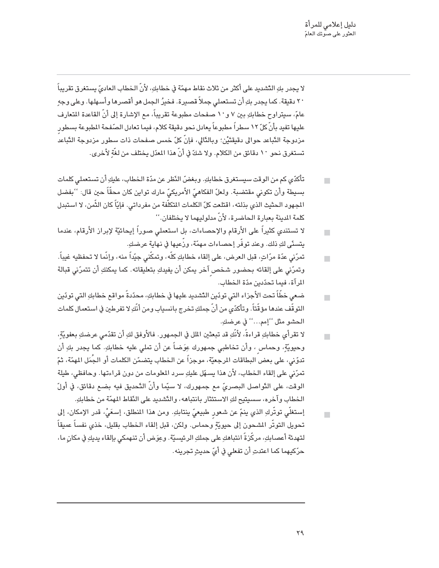لا يجدر بكِ التّشديد على أكثر من ثلاث نقاط مهمّة في خطابكِ، لأنّ الخطاب العاديّ يستغرق تقريباً ٢٠ دقيقة. كما يجدر بكِ أن تستعملي جملاً قصيرة. فخيرُ الجمل هو أقصرها وأسهلها. وعلى وجهِ عامّ، سيتراوح خطابكِ بين ٧ و١٠ صفحات مطبوعة تقريباً، مع الإشارة إلى أنّ القاعدة المتعارف عليها تفيد بأنّ كلّ ١٢ سطراً مطبوعاً يعادل نحو دقيقة كلام، فيما تعادل الصّفحة المطبوعة بسطور مزدوجة التّباعد حوالى دقيقتَيْن؛ وبالدَّالى، فإنّ كلّ خمس صفحات ذات سطور مزدوجة التّباعد تستغرق نحو ١٠ دقائق من الكلام. ولا شكَّ في أنَّ هذا المعدّل يختلف من لغَّةٍ لأخرى.

- تأكدّي كم من الوقت سيستغرق خطابكِ. وبغضّ النّظر عن مدّة الـخطابِ، عليكِ أن تستعملي كلمات  $\Box$ بسبطة وأن تكوني مقتضبة. ولعلّ الفكاهيّ الأمريكيّ مارك تواين كان محقّاً حين قال: ''بفضل المجهود الحثيث الذي بذلته، اقتلعت كلّ الكلمات المتكلّفة من مفرداتي. فإيّاً كان الثّمن، لا استبدل كلمة المدنة بعبارة الحاضرة، لأنّ مدلوليهما لا يختلفان.''
- لا تستندي كثيراً على الأرقام والإحصاءات، بل استعملي صوراً إيحائيّة لإبراز الأرقام، عندما  $\mathbf{r}$ يتسدَّى لكِ ذلك. وعند توفَّر إحصـاءات مـهمَّة، ورَّعيـها في نـهاية عرضكِ.
- تمرّنى عدّة مرّاتٍ، قبل العرض، على إلقاء خطابكِ كلّه، وتمكّني جيّداً منه، وإنّما لا تحفظيه غيباً.  $\overline{\phantom{a}}$ وتمرّني على إلقائه بحضور شخص آخر يمكن أن يفيدكِ بتعليقاته. كما يمكنكِ أن تتمرّني قبالة المرآة، فيما تحدّدين مدّة الخطاب.
- ضعى خطّاً تحت الأجزاء التى تودّين التّشديد عليها في خطابكِ، محدّدةً مواقع خطابكِ التي تودّين  $\overline{\phantom{a}}$ التوقُّف عندها مؤقَّتاً. وتأكدّي من أنَّ جملكِ تخرج بانسياب ومن أنَّكِ لا تفرطبن في استعمال كلمات الحشو مثل ''إمم…'' في عرضكِ.
- لا تقرأى خطابكِ قراءةً، لأنَّكِ قد تبعثين الملل في الجمهور. فالأوفق لكِ أن تقدَّمي عرضكِ بعفويّةٍ،  $\blacksquare$ وحيويَّةٍ، وحماس ، وأن تخاطبي جمهورك عِوَضاً عن أن تملي عليه خطابكِ. كما يجدر بكِ أن تدوّني، على بعض البطاقات المرجعيّة، موجزاً عن الخطاب يتضمّن الكلمات أو الجُمَل المهمّة، ثمّ تمرّني على إلقاء الخطاب، لأن هذا يسهّل عليكِ سرد المعلومات من دون قراءتها. وحافظي، طيلة الوقت، على التَّواصل البصريِّ مع جمهورك، لا سيِّما وأنَّ النَّحديق فيه بضع دقائق، في أولّ الخطاب وآخره، سسيتيح لكِ الاستئثار بانتباهه، والتّشديد على النّقاط المهمّة من خطابكِ.
- إستغلِّي توتَّركِ الذي ينمّ عن شعور طبيعيٍّ ينتابكِ. ومن هذا المنطلق، إسعَيْ، قدر الإمكان، إلى п تحويل التوتُّر المشحون إلى حيويّةٍ وحماس. ولكن، قبل إلقاء الخطاب بقليل، خذى نفساً عميقاً لتهدئة أعصابكِ، مركَّزةً انتباهكِ على جملكِ الرئيسيّة. وعِوَض أن تنهمكي بإلقاء يديكِ في مكانٍ ما، حرّكيهما كما اعتدتِ أن تفعلي في أيّ حديثِ تجرينه.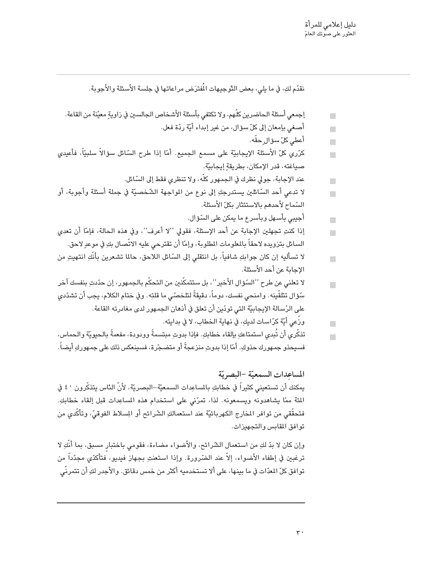$\blacksquare$ 

 $\overline{\phantom{a}}$ 

نقدّم لك، في ما بلي، بعض التّوجيهات الْمُفترَض مر اعاتها في جلسة الأسئلة والأجوية.

- إجمعي أسئلة الحاضرين كلَّهم، ولا تكتفي بأسئلة الأشخاص الجالسين في زاويةٍ معيّنة من القاعة.  $\blacksquare$ أصنعي بإمعان إلى كلِّ سؤال، من غير إبداء أيّة ردّة فعل.
	- $\Box$ 
		- أعطى كلّ سؤال حقّه .  $\blacksquare$
- كرّري كلّ الأسئلة الإيجابيّة على مسمع الجميع. أمّا إذا طرح السّائل سؤالاً سلبيّاً، فأعيدي  $\blacksquare$ صياغته، قدر الإمكان، بطريقة إيجابيّة.
	- عند الإجابة، جولى نظرك في الجمهور كلَّه، ولا تنظري فقط إلى السّائل.
- لا تدعى أحد السَّائلين يستدرجكِ إلى نوع من المواجهة الشَّخصيَّة في جملة أسئلة وأجوبة، أو  $\blacksquare$ السّماح لأحدهم بالاستئثار بكلّ الأسئلة.
	- أجيبي بأسـهل وبأسر ع ما يمكن على السّؤال.  $\blacksquare$
- إذا كنتِ تجهلين الإجابة عن أحد الإسئلة، فقولي ''لا أعرف''، وفي هذه الحالة، فإمّا أن تعدى  $\blacksquare$ السائل بتزويده لاحقاً بالمعلومات المطلوبة، وإمّا أن تقترحى عليه الاتّصال بكِ في موعدٍ لاحق.
- لا تسأليه إن كان جوابكِ شافياً، بل انتقلي إلى السّائل اللاحق، حالما تشعرين بأنَّكِ انتهيتِ من  $\blacksquare$ الإحابة عن أحد الأسئلة.
- لا تعلني عن طرح ''السّوّال الأخير''، بل ستتمكّنين من التحكّم بالجمهور، إن حدّدتِ بنفسك آخر  $\overline{\phantom{a}}$ سّؤال تتلقّينه. وامنحي نفسك، دوماً، دقيقةً لتلخصّي ما قلتِه. وفي ختام الكلام، يجب أن تشدّدي على الرّسالة الإيجابيّة التي تودّين أن تعلق في أذهان الجمهور لدى مغادرته القاعة.
	- ورَّعى أيّة كرّاسات لديكِ، في نهاية الخطاب، لا في بدايته.  $\blacksquare$
- تذكَّري أن تُبدي استمتاعكِ بإلقاء خطابكِ. فإذا بدوتِ مبتسمةً وودودة، مفعمةً بالحيويّة والحماس، فسيحذو جمهورك حذوكِ. أمّا إذا بدوتِ منزعجةً أو متضـجّرة، فسـينعكس ذلك على جمهوركِ أيضـاً.

المساعدات السمعيّة -البصريّة يمكنك أن تستعيني كثيراً في خطابكِ بالمساعِدات السمعيّة–البصريّة، لأنّ الدّاس يتذكّرون ٤٠ في المئة ممّا يشاهدونه ويسمعونه. لذا، تمرّني على استخدام هذه المساعِدات قبل إلقاء خطابكِ. فتحقَّقي من توافر المخارج الكهربائيَّة عند استعمالكِ الشَّرائح أو المِسلاط الفوقيِّ، وتأكَّدي من توافق المقابس والتجهيزات.

وإن كان لا بدِّ لكِ من استعمال الشَّرائح، والأُضواء مضاءة، فقومي باختبار مسبق، بما أنَّكِ لا ترغبين في إطفاء الأضواء، إلاّ عند الضّرورة. وإذا استعنتِ بجهاز فيديو، فتأكدّي مجدّداً من توافق كلّ المدّات في ما بينها، على ألا تستخدميه أكثر من خمس دقائق. والأجدر لكِ أن تتمرنّى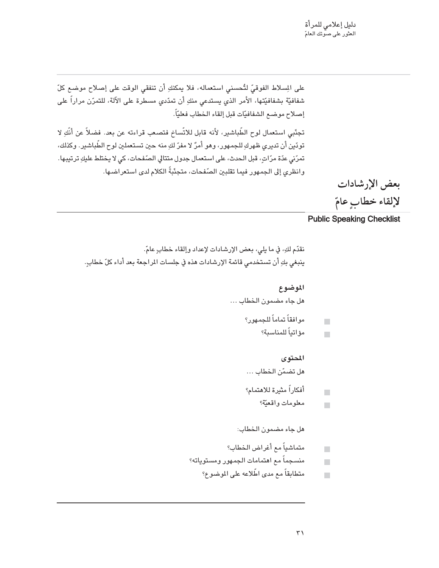على المسلاط الفوقيِّ لتُحسني استعماله، فلا يمكنكِ أن تنفقي الوقت على إصلاح موضع كلِّ شفافيّة بشفافيّتها، الأمر الذي يستدعى منكِ أن تمدّدي مسطرة على الآلة، للتمرّن مراراً على إصلاح موضع الشفافيّات قبل إلقاء الخطاب فعليّاً.

تجنّبي استعمال لوح الطّباشير، لأنه قابل للاتّساخ فتصعب قراءته عن بعد. فضلاً عن أنّكِ لا تودّين أن تديري ظهركِ للجمهور، وهو أمرٌ لا مفرّ لكِ منه حين تستعملين لوح الطّباشير. وكذلك، تمرّني عدّة مرّاتٍ، قبل الحدث، على استعمال جدول متتالى الصّفحات، كي لا يختلط عليكِ ترتيبها. وانظري إلى الجمهور فيما تقلبين الصّفحات، متجنّبةً الكلام لدى استعراضها.

> بعض الإرشادات لإلقاء خطابٍ عامّ

#### **Public Speaking Checklist**

```
نقدّم لكِ، في ما يلي، بعض الإرشادات لإعداد وإلقاء خطابٍ عامّ.
ينبغي بكِ أن تستخدمي قائمة الإرشادات هذه في جلسات المراجعة بعد أداء كلّ خطابٍ.
```
#### الموضوع

هل جاء مضمون الخطاب ...

- موافقاً تماماً للجمهور؟  $\blacksquare$ 
	- مؤاتباً للمناسبة؟  $\overline{\phantom{a}}$

#### المحتوى

هل تضمّن الخطاب ...

- أفكاراً مثيرة للاهتمام؟  $\blacksquare$ 
	- معلومات واقعيّة؟  $\blacksquare$

#### هل جاء مضمون الخطاب:

- متماشياً مع أغراض الخطاب؟  $\blacksquare$
- منسجماً مع اهتمامات الجمهور ومستوياته؟  $\blacksquare$ 
	- متطابقاً مع مدى اطِّلاعه على الموضوع؟  $\blacksquare$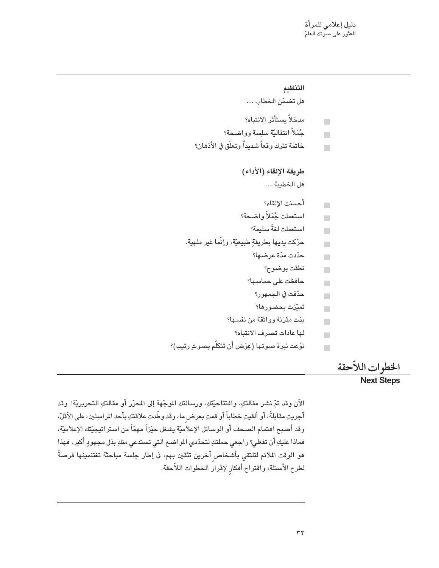```
التنظيم
                                      هل تضمّن الخطاب ...
                                     مدخلاً يستأثر الانتباه؟
                                                                              \blacksquareجُمَلاً انتقاليّة سلِسة وواضحة؟
                                                                              \overline{\phantom{a}}خاتمة تترك وقعاً شديداً وتعلَق في الأذهان؟
                                                                             \overline{\phantom{a}}طريقة الإلقاء (الأداء)
                                                هل الخطيبة ...
                                               أحسنت الإلقاء؟
                                                                              \blacksquareاستعملت جُمَلاً واضحة؟
                                                                              \overline{\phantom{a}}استعملت لغةً سليمة؟
                                                                              \overline{\phantom{a}}حرّكت يديها بطريقةٍ طبيعيّة، وإنّما غير ملهية.
                                                                              \overline{\phantom{a}}حدّدت مدّة عرضـها؟
                                                                              \overline{\phantom{a}}نطقت بوضوح؟
                                                                              \blacksquareحافظت على حماسها؟
                                                                              \blacksquareحدّقت في الجمهور؟
                                                                              \mathbf{r}تميّزت بحضورها؟
                                                                              \mathbf{r}بدَت متّزنة وواثقة من نفسها؟
                                                                              \Boxلها عادات تصرف الانتباه؟
                                                                              \overline{\phantom{a}}نوّعت نبرة صوتها (عِوَض أن تتكلّم بصوتٍ رتيبٍ)؟
                                                                              \overline{\phantom{a}}
```
#### الخطوات اللأحقة

#### **Next Steps**

الآن وقد تمّ نشر مقالتكِ، وافتتاحيّتكِ، ورسالتك الموجّهة إلى المحرّر أو مقالتكِ التحريريّة! وقد أجريتِ مقابلةً، أو ألقيتِ خطاباً أو قمتِ بعرض ما، وقد وطَّدتِ علاقتكِ بأحد المراسِلين، على الأقلِّ، وقد أصبح اهتمام الصحف أو الوسائل الإعلاميّة يشغل حيّزاً مهمّاً من استراتيجيّتك الإعلاميّة، فماذا عليكِ أن تفعلي؟ راجعي حملتكِ لتحدّدي المواضـع التي تستدعي منكِ بذل مجهودٍ أكبر. فهذا هو الوقت الملائم لتلتقي بأشخاص آخرين تثقين بهم، في إطار جلسة مباحثة تغتنمينها فرصةً لطرح الأسئلة، واقتراح أفكارٍ لإقرار الخطوات اللاّحقة.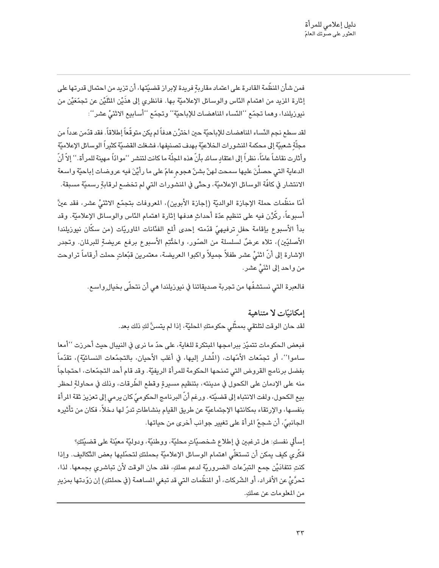فمن شأن المنظَّمة القادرة على اعتماد مقاربة فريدة لإبراز قضيّتها، أن تزيد من احتمال قدرتها على إثارة المزيد من اهتمام النّاس والوسائل الإعلاميّة بها. فانظرى إلى هذَيْن المثَّلَيْن عن تجمَّعَيْن من نيوزيلندا، وهما تجمّع ''النّساء المناهضات للإباحيّة'' وتجمّع ''أسابيع الاثْنَىُّ عشر'':

لقد سطع نجم النّساء الماهضات للإباحيّة حين اخترْن هدفاً لم يكن متوقّعاً إطلاقاً. فقد قدّمن عدداً من مجلَّة شعبيَّة إلى محكمة المشورات الخلاعيّة بهدف تصنيفها، فشغلت القضيّة كثيراً الوسائل الإعلاميّة وأثارت نقاشاً عامّاً، نظراً إلى اعتقاد سائد بأنّ هذه المجلّة ما كانت لتنشر ''موادّاً مهينة للمرأة.'' إلاّ أنّ الدعاية التي حصلْنَ عليها سمحت لهنّ بشنّ هجوم عامّ على ما رأيْنَ فيه عروضات إباحيّة واسعة الانتشار في كافَّة الوسائل الإعلاميَّة، وحتَّى في المشورات التي لم تخضـع لرقابةٍ رسميَّة مسبقة.

أمّا منظّمات حملة الإجازة الوالديّة (إجازة الأبوين)، المعروفات بتجمّع الاثنَيُّ عشر، فقد عينَّ أسبوعاً، ركِّرْن فيه على تنظيم عدّة أحداثٍ هدفها إثارة اهتمام النّاس والوسائل الإعلاميّة. وقد بدأ الأسبوع بإقامة حفل ترفيهيّ قدّمته إحدى ألمع الفنّانات الماوريّات (من سكّان نيوزيلندا الأصليِّين)، تلاه عرضٌ لسلسلة من الصّور، واختُتِم الأسبوع برفع عريضةِ للبرلمان. وتجدر الإشارة إلى أنَّ انْثَىُّ عشر طفلاً جميلاً واكبوا العريضة، معتمرين قبّعاتٍ حملت أرقاماً تراوحت من واحد إلى اثْنَىُّ عشر.

فالعبرة التي نستشفَّها من تجربة صديقاتنا في نيوزيلندا هي أن نتحلَّى بخيال ٍواسع.

إمكانتات لا متناهية لقد حان الوقت لتلتقي بممثِّلي حكومتكِ المحليَّة، إذا لم يتسنَّ لكِ ذلك بعد.

فبعض الحكومات تتميّز ببرامجها المبتكرة للغاية، على حدّ ما نرى في النيبال حيث أحرزت ''أمعا ساموا''، أو تجمّعات الأمّهات، (المُشار إليها، في أغلب الأحيان، بالتجمّعات النسائيّة)، تقدّماً بفضل برنامج القروض التي تمنحها الحكومة للمرأة الريفيّة. وقد قام أحد التجمّعات، احتجاجاً منه على الإدمان على الكحول في مدينته، بتنظيم مسيرة وقطع الطِّرقات، وذلك في محاولة لـحظر بيع الكحول، ولفت الانتباه إلى قضيّته. ورغم أنّ البرنامج الحكوميّ كان يرمى إلى تعزيز ثقة المرأة بنفسها، والإرتقاء بمكانتها الإجتماعيّة عن طريق القيام بنشاطاتٍ تدرّ لها دخلاً، فكان من تأثيره الجانبيِّ، أن شجعِّ المرأة على تغيير جوانب أخرى من حياتها.

إسألي نفسكِ: هل ترغبين في إطلاع شخصيَّاتٍ محليَّة، ووطنيَّة، ودوليَّة معيّنة على قضيّتكِ؟ فكَّرى كيف يمكن أن تستغلَّى اهتمام الوسائل الإعلاميّة بحملتكِ لتحمّليها بعض التّكاليف. وإذا كنتِ تتفادَيْن جمع التبرّعات الضروريّة لدعم عملكِ، فقد حان الوقت لأن تباشري بجمعها. لذا، تحرَّيُّ عن الأفراد، أو الشَّركات، أو المنظَّمات التي قد تبغي المساهمة (في حملتكِ) إن زوّدتها بمزيدٍ من المعلومات عن عملكِ.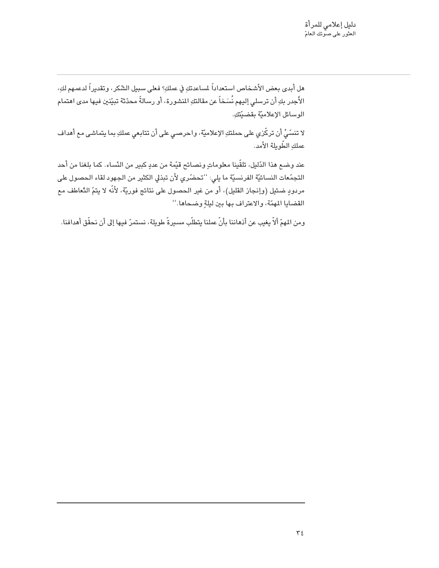هل أبدى بعض الأشخاص استعداداً لمساعدتكِ في عملكِ؟ فعلى سبيل الشّكر، وتقديراً لدعمهم لكِ، الأَجدر بكِ أن ترسلي إليهم نُسَخاً عن مقالتكِ المنشورة، أو رسالةً محدّثة تبيّنين فيها مدى اهتمام الوسائل الإعلاميّة بقضيّتكِ.

لا تنسَّىُّ أن تركَّزي على حملتكِ الإعلاميَّة، واحرصى على أن تتابعي عملكِ بما يتماشى مع أهداف عملكِ الطّويلة الأمد.

عند وضـع هذا الدّليل، تلقّينا معلوماتٍ ونصـائح قيّمة من عددٍ كبير من النّساء. كما بلغنا من أحد التجمّعات النسائيّة الفرنسيّة ما يلي: ''تحضّري لأن تبذلي الكثير من الجهود لقاء الحصول على مردودٍ ضئيل (وإنجاز القليل)، أو من غير الحصول على نتائج فوريّة، لأنّه لا يتمّ التّعاطف مع القضايا المهمّة، والاعتراف بها بين ليلةٍ وضحاها.''

ومن المهمّ ألاّ يغيب عن أذهاننا بأنّ عملنا يتطلّب مسيرةً طويلة، نستمرّ فيها إلى أن نحقّق أهدافنا.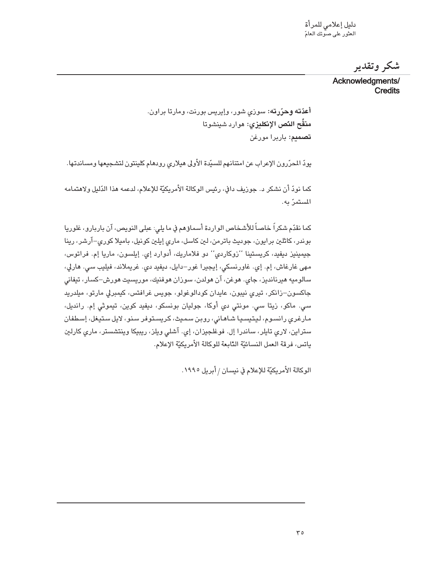شكر وتقدير

Acknowledgments/ **Credits** 

أ**عدّته وحرّرته:** سوزی شور، وإیریس بورنت، ومارتا براون. منقِّح النِّص الإنكليزي: هوارد شينشوتا **تصميم:** باربرا مورغن

يودّ المحرّرون الإعراب عن امتنانهم للسيّدة الأولى هيلاري رودهام كلينتون لتشجيعها ومساندتها.

كما نودّ أن نشكر د. جوزيف دافي، رئيس الوكالة الأمريكيّة للإعلام، لدعمه هذا الدّليل ولاهتمامه المستمرّ به.

كما نقدّم شكراً خاصاً للأشخاص الواردة أسماؤهم في ما يلي: عبلي النويص، آن باربارو، غلوريا بوندر، کاٹلین برایون، جودیٹ باترمن، لین کاسل، ماری إیلین کونیل، بامیلا کوری–آرشر، رینا جيمينيز ديفيد، كريستينا ''زوكاردي'' دو فلاماريك، أدوارد إي. إيلسون، ماريا إم. فراتوس، مهی غارغاش، إم. إي. غاورنسكي، إيجيرا غور–دايل، ديفيد دي. غريملاند، فيليب سي. هارلي، سالوميه هيرنانديز، جاي. هوغن، آن هولدن، سوزان هوفنيك، موريسيت هورش–كسار، تيفاني جاکسون–زانکر، تیری نیبون، عایدان کودالوغولو، جویس غرافتس، کیمبرلی مارتو، میلدرید سی. ماکو، زیتا سی. مونتی دی أوکا، جولیان بونسکو، دیفید کوین، تیموثی إم. راندیل، مارغري رانسوم، ليتيسيا شاهاني، روبن سميث، كريستوفر سنو، لايل ستيغل، إسطفان ستراین، لاری تایلر، ساندرا إل. فوغلجیزان، إی. آشلی ویلز، ریبیکا وینتشستر، ماری کارلین ياتس، فرقة العمل النسائيّة الدّابعة للوكالة الأمريكيّة الإعلام.

الوكالة الأمريكيّة للإعلام في نيسان / أبريل ١٩٩٥.